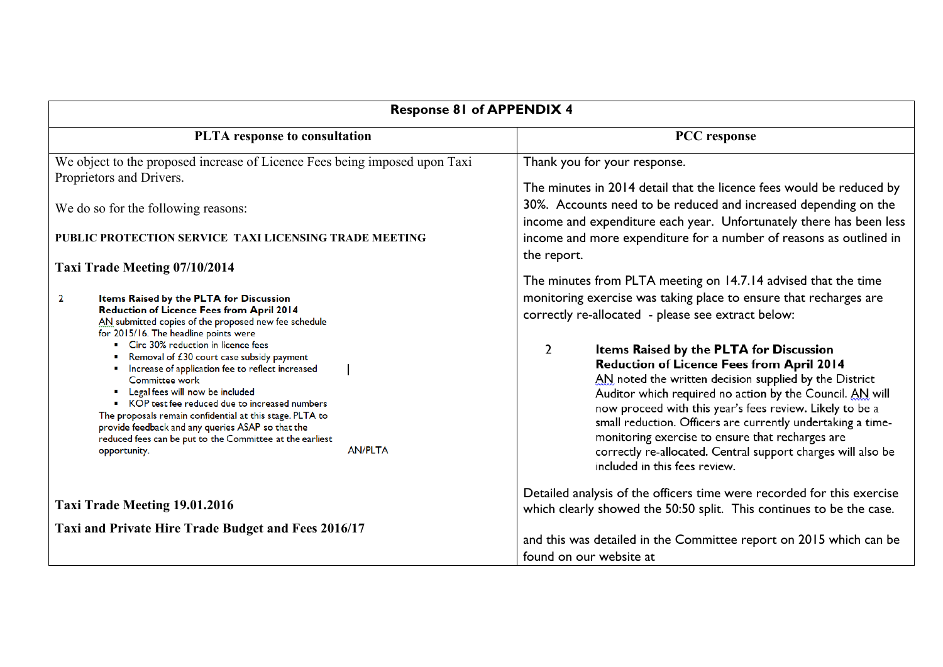| <b>Response 81 of APPENDIX 4</b>                                                                                                                                                                                                                                                                                                                                                                                                                              |                                                                                                                                                                                                                                                                                                                                                                                                                                                                                                                                  |  |  |  |  |
|---------------------------------------------------------------------------------------------------------------------------------------------------------------------------------------------------------------------------------------------------------------------------------------------------------------------------------------------------------------------------------------------------------------------------------------------------------------|----------------------------------------------------------------------------------------------------------------------------------------------------------------------------------------------------------------------------------------------------------------------------------------------------------------------------------------------------------------------------------------------------------------------------------------------------------------------------------------------------------------------------------|--|--|--|--|
| <b>PLTA</b> response to consultation                                                                                                                                                                                                                                                                                                                                                                                                                          | <b>PCC</b> response                                                                                                                                                                                                                                                                                                                                                                                                                                                                                                              |  |  |  |  |
| We object to the proposed increase of Licence Fees being imposed upon Taxi<br>Proprietors and Drivers.<br>We do so for the following reasons:<br>PUBLIC PROTECTION SERVICE TAXI LICENSING TRADE MEETING<br>Taxi Trade Meeting 07/10/2014<br>2<br>Items Raised by the PLTA for Discussion<br>Reduction of Licence Fees from April 2014<br>AN submitted copies of the proposed new fee schedule<br>for 2015/16. The headline points were                        | Thank you for your response.<br>The minutes in 2014 detail that the licence fees would be reduced by<br>30%. Accounts need to be reduced and increased depending on the<br>income and expenditure each year. Unfortunately there has been less<br>income and more expenditure for a number of reasons as outlined in<br>the report.<br>The minutes from PLTA meeting on 14.7.14 advised that the time<br>monitoring exercise was taking place to ensure that recharges are<br>correctly re-allocated - please see extract below: |  |  |  |  |
| Circ 30% reduction in licence fees<br>Removal of £30 court case subsidy payment<br>Increase of application fee to reflect increased<br>ш<br>Committee work<br>Legal fees will now be included<br>KOP test fee reduced due to increased numbers<br>The proposals remain confidential at this stage. PLTA to<br>provide feedback and any queries ASAP so that the<br>reduced fees can be put to the Committee at the earliest<br><b>AN/PLTA</b><br>opportunity. | 2<br>Items Raised by the PLTA for Discussion<br><b>Reduction of Licence Fees from April 2014</b><br>AN noted the written decision supplied by the District<br>Auditor which required no action by the Council. AN will<br>now proceed with this year's fees review. Likely to be a<br>small reduction. Officers are currently undertaking a time-<br>monitoring exercise to ensure that recharges are<br>correctly re-allocated. Central support charges will also be<br>included in this fees review.                           |  |  |  |  |
| <b>Taxi Trade Meeting 19.01.2016</b>                                                                                                                                                                                                                                                                                                                                                                                                                          | Detailed analysis of the officers time were recorded for this exercise<br>which clearly showed the 50:50 split. This continues to be the case.                                                                                                                                                                                                                                                                                                                                                                                   |  |  |  |  |
| Taxi and Private Hire Trade Budget and Fees 2016/17                                                                                                                                                                                                                                                                                                                                                                                                           | and this was detailed in the Committee report on 2015 which can be<br>found on our website at                                                                                                                                                                                                                                                                                                                                                                                                                                    |  |  |  |  |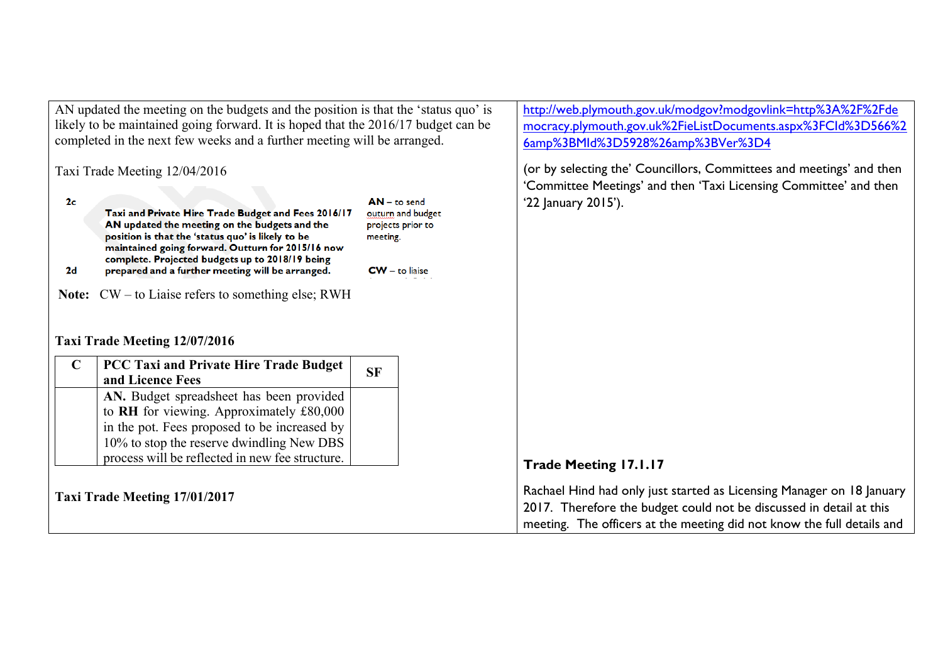|                               | AN updated the meeting on the budgets and the position is that the 'status quo' is<br>likely to be maintained going forward. It is hoped that the 2016/17 budget can be<br>completed in the next few weeks and a further meeting will be arranged.                |                                                    | http://web.plymouth.gov.uk/modgov?modgovlink=http%3A%2F%2Fde<br>mocracy.plymouth.gov.uk%2FieListDocuments.aspx%3FCId%3D566%2<br>6amp%3BMId%3D5928%26amp%3BVer%3D4                                                      |
|-------------------------------|-------------------------------------------------------------------------------------------------------------------------------------------------------------------------------------------------------------------------------------------------------------------|----------------------------------------------------|------------------------------------------------------------------------------------------------------------------------------------------------------------------------------------------------------------------------|
| 2 <sub>c</sub>                | Taxi Trade Meeting 12/04/2016                                                                                                                                                                                                                                     | $AN - to send$                                     | (or by selecting the' Councillors, Committees and meetings' and then<br>'Committee Meetings' and then 'Taxi Licensing Committee' and then<br>'22 January 2015').                                                       |
|                               | Taxi and Private Hire Trade Budget and Fees 2016/17<br>AN updated the meeting on the budgets and the<br>position is that the 'status quo' is likely to be<br>maintained going forward. Outturn for 2015/16 now<br>complete. Projected budgets up to 2018/19 being | outurn and budget<br>projects prior to<br>meeting. |                                                                                                                                                                                                                        |
| 2d                            | prepared and a further meeting will be arranged.<br>Note: CW – to Liaise refers to something else; RWH                                                                                                                                                            | $CW - to \nexists$                                 |                                                                                                                                                                                                                        |
|                               | Taxi Trade Meeting 12/07/2016                                                                                                                                                                                                                                     |                                                    |                                                                                                                                                                                                                        |
| $\mathbf C$                   | <b>PCC Taxi and Private Hire Trade Budget</b><br>and Licence Fees                                                                                                                                                                                                 | <b>SF</b>                                          |                                                                                                                                                                                                                        |
|                               | AN. Budget spreadsheet has been provided<br>to RH for viewing. Approximately £80,000                                                                                                                                                                              |                                                    |                                                                                                                                                                                                                        |
|                               | in the pot. Fees proposed to be increased by<br>10% to stop the reserve dwindling New DBS                                                                                                                                                                         |                                                    |                                                                                                                                                                                                                        |
|                               | process will be reflected in new fee structure.                                                                                                                                                                                                                   |                                                    | <b>Trade Meeting 17.1.17</b>                                                                                                                                                                                           |
| Taxi Trade Meeting 17/01/2017 |                                                                                                                                                                                                                                                                   |                                                    | Rachael Hind had only just started as Licensing Manager on 18 January<br>2017. Therefore the budget could not be discussed in detail at this<br>meeting. The officers at the meeting did not know the full details and |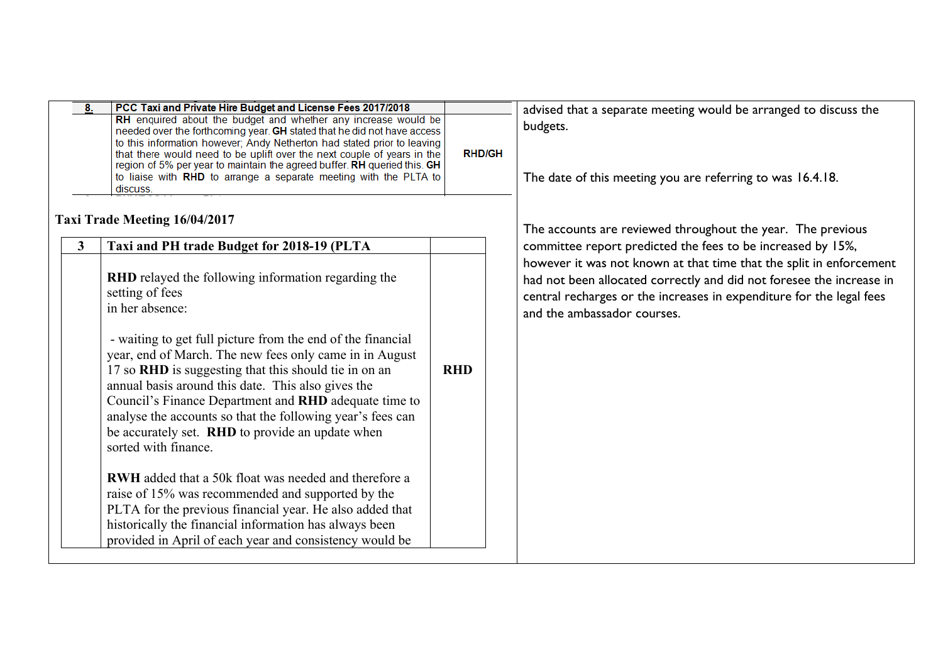| 8. | PCC Taxi and Private Hire Budget and License Fees 2017/2018                                                                                                                                                                                                                                                                                                                                                                                                                                                                                  |               | advised that a separate meeting would be arranged to discuss the                                                                                                                                                                                   |
|----|----------------------------------------------------------------------------------------------------------------------------------------------------------------------------------------------------------------------------------------------------------------------------------------------------------------------------------------------------------------------------------------------------------------------------------------------------------------------------------------------------------------------------------------------|---------------|----------------------------------------------------------------------------------------------------------------------------------------------------------------------------------------------------------------------------------------------------|
|    | RH enquired about the budget and whether any increase would be<br>needed over the forthcoming year. GH stated that he did not have access<br>to this information however; Andy Netherton had stated prior to leaving<br>that there would need to be uplift over the next couple of years in the<br>region of 5% per year to maintain the agreed buffer. RH queried this. GH<br>to liaise with RHD to arrange a separate meeting with the PLTA to<br>discuss.                                                                                 | <b>RHD/GH</b> | budgets.<br>The date of this meeting you are referring to was 16.4.18.                                                                                                                                                                             |
|    | Taxi Trade Meeting 16/04/2017                                                                                                                                                                                                                                                                                                                                                                                                                                                                                                                |               | The accounts are reviewed throughout the year. The previous                                                                                                                                                                                        |
| 3  | Taxi and PH trade Budget for 2018-19 (PLTA                                                                                                                                                                                                                                                                                                                                                                                                                                                                                                   |               | committee report predicted the fees to be increased by 15%,                                                                                                                                                                                        |
|    | <b>RHD</b> relayed the following information regarding the<br>setting of fees<br>in her absence:<br>- waiting to get full picture from the end of the financial<br>year, end of March. The new fees only came in in August<br>17 so RHD is suggesting that this should tie in on an<br>annual basis around this date. This also gives the<br>Council's Finance Department and RHD adequate time to<br>analyse the accounts so that the following year's fees can<br>be accurately set. RHD to provide an update when<br>sorted with finance. | <b>RHD</b>    | however it was not known at that time that the split in enforcement<br>had not been allocated correctly and did not foresee the increase in<br>central recharges or the increases in expenditure for the legal fees<br>and the ambassador courses. |
|    | <b>RWH</b> added that a 50k float was needed and therefore a<br>raise of 15% was recommended and supported by the<br>PLTA for the previous financial year. He also added that<br>historically the financial information has always been<br>provided in April of each year and consistency would be                                                                                                                                                                                                                                           |               |                                                                                                                                                                                                                                                    |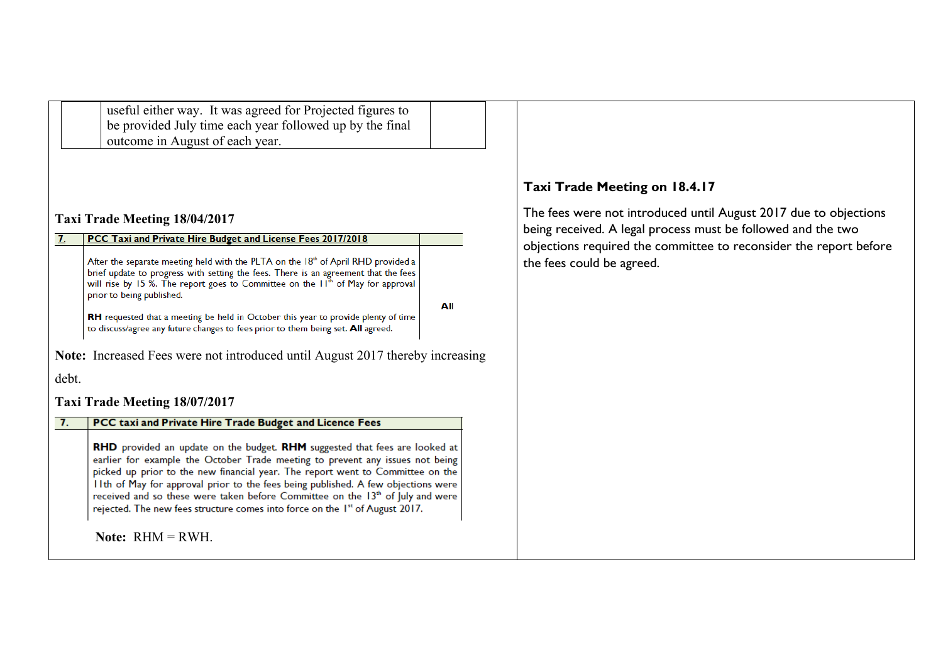useful either way. It was agreed for Projected figures to be provided July time each year followed up by the final outcome in August of each year.

## **Taxi Trade Meeting 18/04/2017**

| 7.    | PCC Taxi and Private Hire Budget and License Fees 2017/2018                                                                                                                                                                                                                                            |     |
|-------|--------------------------------------------------------------------------------------------------------------------------------------------------------------------------------------------------------------------------------------------------------------------------------------------------------|-----|
|       | After the separate meeting held with the PLTA on the $18th$ of April RHD provided a<br>brief update to progress with setting the fees. There is an agreement that the fees<br>will rise by 15 %. The report goes to Committee on the 11 <sup>th</sup> of May for approval<br>prior to being published. |     |
|       | <b>RH</b> requested that a meeting be held in October this year to provide plenty of time<br>to discuss/agree any future changes to fees prior to them being set. All agreed.                                                                                                                          | ΑIΙ |
|       | <b>Note:</b> Increased Fees were not introduced until August 2017 thereby increasing                                                                                                                                                                                                                   |     |
| debt. |                                                                                                                                                                                                                                                                                                        |     |
|       | Taxi Trade Meeting 18/07/2017                                                                                                                                                                                                                                                                          |     |
| 7.    | PCC taxi and Private Hire Trade Budget and Licence Fees                                                                                                                                                                                                                                                |     |
|       |                                                                                                                                                                                                                                                                                                        |     |

RHD provided an update on the budget. RHM suggested that fees are looked at earlier for example the October Trade meeting to prevent any issues not being picked up prior to the new financial year. The report went to Committee on the I lth of May for approval prior to the fees being published. A few objections were received and so these were taken before Committee on the 13<sup>th</sup> of july and were rejected. The new fees structure comes into force on the 1st of August 2017.

**Note:** RHM = RWH.

# **Taxi Trade Meeting on 18.4.17**

The fees were not introduced until August 2017 due to objections being received. A legal process must be followed and the two objections required the committee to reconsider the report before the fees could be agreed.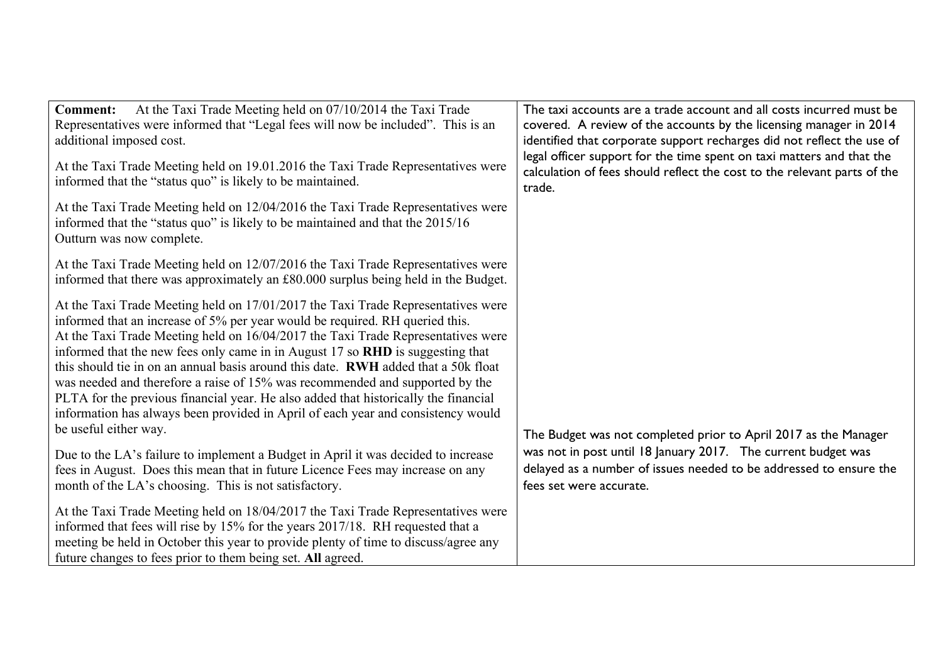| At the Taxi Trade Meeting held on 07/10/2014 the Taxi Trade<br><b>Comment:</b><br>Representatives were informed that "Legal fees will now be included". This is an<br>additional imposed cost.<br>At the Taxi Trade Meeting held on 19.01.2016 the Taxi Trade Representatives were                                                                                                                                                                                                                                                                                                                                                                                                                               | The taxi accounts are a trade account and all costs incurred must be<br>covered. A review of the accounts by the licensing manager in 2014<br>identified that corporate support recharges did not reflect the use of<br>legal officer support for the time spent on taxi matters and that the<br>calculation of fees should reflect the cost to the relevant parts of the |
|------------------------------------------------------------------------------------------------------------------------------------------------------------------------------------------------------------------------------------------------------------------------------------------------------------------------------------------------------------------------------------------------------------------------------------------------------------------------------------------------------------------------------------------------------------------------------------------------------------------------------------------------------------------------------------------------------------------|---------------------------------------------------------------------------------------------------------------------------------------------------------------------------------------------------------------------------------------------------------------------------------------------------------------------------------------------------------------------------|
| informed that the "status quo" is likely to be maintained.<br>At the Taxi Trade Meeting held on 12/04/2016 the Taxi Trade Representatives were<br>informed that the "status quo" is likely to be maintained and that the 2015/16<br>Outturn was now complete.                                                                                                                                                                                                                                                                                                                                                                                                                                                    | trade.                                                                                                                                                                                                                                                                                                                                                                    |
| At the Taxi Trade Meeting held on 12/07/2016 the Taxi Trade Representatives were<br>informed that there was approximately an £80.000 surplus being held in the Budget.                                                                                                                                                                                                                                                                                                                                                                                                                                                                                                                                           |                                                                                                                                                                                                                                                                                                                                                                           |
| At the Taxi Trade Meeting held on 17/01/2017 the Taxi Trade Representatives were<br>informed that an increase of 5% per year would be required. RH queried this.<br>At the Taxi Trade Meeting held on 16/04/2017 the Taxi Trade Representatives were<br>informed that the new fees only came in in August 17 so RHD is suggesting that<br>this should tie in on an annual basis around this date. RWH added that a 50k float<br>was needed and therefore a raise of 15% was recommended and supported by the<br>PLTA for the previous financial year. He also added that historically the financial<br>information has always been provided in April of each year and consistency would<br>be useful either way. | The Budget was not completed prior to April 2017 as the Manager                                                                                                                                                                                                                                                                                                           |
| Due to the LA's failure to implement a Budget in April it was decided to increase<br>fees in August. Does this mean that in future Licence Fees may increase on any<br>month of the LA's choosing. This is not satisfactory.                                                                                                                                                                                                                                                                                                                                                                                                                                                                                     | was not in post until 18 January 2017. The current budget was<br>delayed as a number of issues needed to be addressed to ensure the<br>fees set were accurate.                                                                                                                                                                                                            |
| At the Taxi Trade Meeting held on 18/04/2017 the Taxi Trade Representatives were<br>informed that fees will rise by 15% for the years 2017/18. RH requested that a<br>meeting be held in October this year to provide plenty of time to discuss/agree any<br>future changes to fees prior to them being set. All agreed.                                                                                                                                                                                                                                                                                                                                                                                         |                                                                                                                                                                                                                                                                                                                                                                           |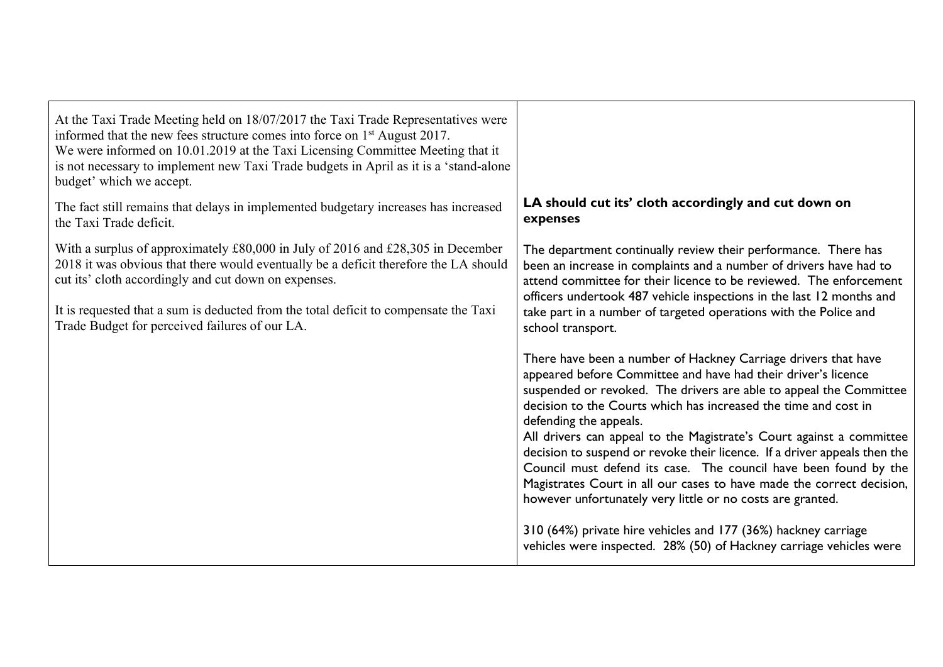| At the Taxi Trade Meeting held on 18/07/2017 the Taxi Trade Representatives were<br>informed that the new fees structure comes into force on 1 <sup>st</sup> August 2017.<br>We were informed on 10.01.2019 at the Taxi Licensing Committee Meeting that it<br>is not necessary to implement new Taxi Trade budgets in April as it is a 'stand-alone<br>budget' which we accept. |                                                                                                                                                                                                                                                                                                                                                                                                                                                                                                                                                                                                                                                                                                                                                                                                                                                                                                                                                                                                                                                                                                                                                                                            |
|----------------------------------------------------------------------------------------------------------------------------------------------------------------------------------------------------------------------------------------------------------------------------------------------------------------------------------------------------------------------------------|--------------------------------------------------------------------------------------------------------------------------------------------------------------------------------------------------------------------------------------------------------------------------------------------------------------------------------------------------------------------------------------------------------------------------------------------------------------------------------------------------------------------------------------------------------------------------------------------------------------------------------------------------------------------------------------------------------------------------------------------------------------------------------------------------------------------------------------------------------------------------------------------------------------------------------------------------------------------------------------------------------------------------------------------------------------------------------------------------------------------------------------------------------------------------------------------|
| The fact still remains that delays in implemented budgetary increases has increased<br>the Taxi Trade deficit.                                                                                                                                                                                                                                                                   | LA should cut its' cloth accordingly and cut down on<br>expenses                                                                                                                                                                                                                                                                                                                                                                                                                                                                                                                                                                                                                                                                                                                                                                                                                                                                                                                                                                                                                                                                                                                           |
| With a surplus of approximately £80,000 in July of 2016 and £28,305 in December<br>2018 it was obvious that there would eventually be a deficit therefore the LA should<br>cut its' cloth accordingly and cut down on expenses.<br>It is requested that a sum is deducted from the total deficit to compensate the Taxi<br>Trade Budget for perceived failures of our LA.        | The department continually review their performance. There has<br>been an increase in complaints and a number of drivers have had to<br>attend committee for their licence to be reviewed. The enforcement<br>officers undertook 487 vehicle inspections in the last 12 months and<br>take part in a number of targeted operations with the Police and<br>school transport.<br>There have been a number of Hackney Carriage drivers that have<br>appeared before Committee and have had their driver's licence<br>suspended or revoked. The drivers are able to appeal the Committee<br>decision to the Courts which has increased the time and cost in<br>defending the appeals.<br>All drivers can appeal to the Magistrate's Court against a committee<br>decision to suspend or revoke their licence. If a driver appeals then the<br>Council must defend its case. The council have been found by the<br>Magistrates Court in all our cases to have made the correct decision,<br>however unfortunately very little or no costs are granted.<br>310 (64%) private hire vehicles and 177 (36%) hackney carriage<br>vehicles were inspected. 28% (50) of Hackney carriage vehicles were |

 $\Gamma$ 

 $\overline{\phantom{0}}$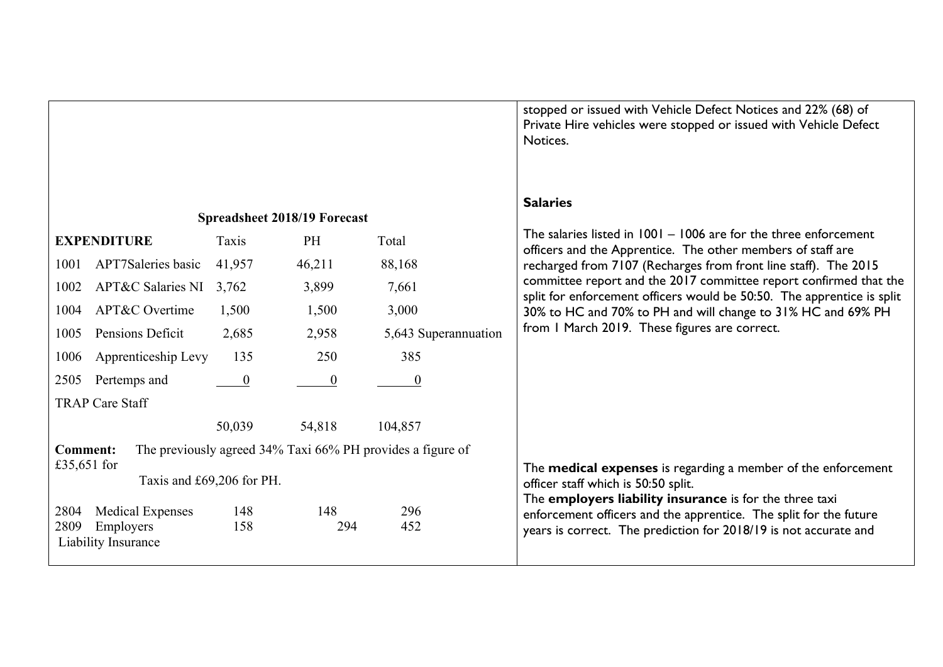|                 |                                  |                  |                                     |                                                            | Private Hire vehicles were stopped or issued with Vehicle Defect<br>Notices.                                                                |
|-----------------|----------------------------------|------------------|-------------------------------------|------------------------------------------------------------|---------------------------------------------------------------------------------------------------------------------------------------------|
|                 |                                  |                  | <b>Spreadsheet 2018/19 Forecast</b> |                                                            | <b>Salaries</b><br>The salaries listed in $1001 - 1006$ are for the three enforcement                                                       |
|                 | <b>EXPENDITURE</b>               | Taxis            | <b>PH</b>                           | Total                                                      | officers and the Apprentice. The other members of staff are                                                                                 |
| 1001            | APT7Saleries basic               | 41,957           | 46,211                              | 88,168                                                     | recharged from 7107 (Recharges from front line staff). The 2015                                                                             |
| 1002            | APT&C Salaries NI $3,762$        |                  | 3,899                               | 7,661                                                      | committee report and the 2017 committee report confirmed that the<br>split for enforcement officers would be 50:50. The apprentice is split |
| 1004            | APT&C Overtime                   | 1,500            | 1,500                               | 3,000                                                      | 30% to HC and 70% to PH and will change to 31% HC and 69% PH                                                                                |
| 1005            | Pensions Deficit                 | 2,685            | 2,958                               | 5,643 Superannuation                                       | from I March 2019. These figures are correct.                                                                                               |
| 1006            | Apprenticeship Levy              | 135              | 250                                 | 385                                                        |                                                                                                                                             |
| 2505            | Pertemps and                     | $\boldsymbol{0}$ | $\boldsymbol{0}$                    | $\boldsymbol{0}$                                           |                                                                                                                                             |
|                 | <b>TRAP Care Staff</b>           |                  |                                     |                                                            |                                                                                                                                             |
|                 |                                  | 50,039           | 54,818                              | 104,857                                                    |                                                                                                                                             |
| <b>Comment:</b> |                                  |                  |                                     | The previously agreed 34% Taxi 66% PH provides a figure of |                                                                                                                                             |
| £35,651 for     | Taxis and £69,206 for PH.        |                  |                                     |                                                            | The medical expenses is regarding a member of the enforcement                                                                               |
|                 |                                  |                  |                                     |                                                            | officer staff which is 50:50 split.<br>The employers liability insurance is for the three taxi                                              |
| 2804            | <b>Medical Expenses</b>          | 148              | 148                                 | 296                                                        | enforcement officers and the apprentice. The split for the future                                                                           |
| 2809            | Employers<br>Liability Insurance | 158              | 294                                 | 452                                                        | years is correct. The prediction for 2018/19 is not accurate and                                                                            |

stopped or issued with Vehicle Defect Notices and 22% (68) of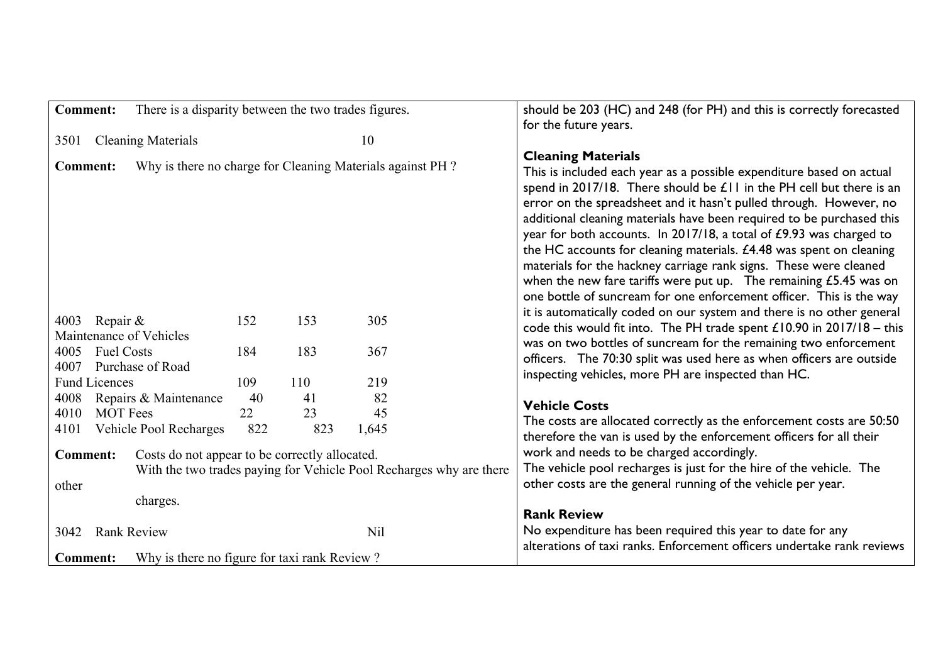| <b>Comment:</b>                                              | There is a disparity between the two trades figures.                                                                  |     |     |       | should be 203 (HC) and 248 (for PH) and this is correctly forecasted<br>for the future years.                                                                                                                                                                                                                                                                                                                                                                                                                                                                                                                                                                                               |  |
|--------------------------------------------------------------|-----------------------------------------------------------------------------------------------------------------------|-----|-----|-------|---------------------------------------------------------------------------------------------------------------------------------------------------------------------------------------------------------------------------------------------------------------------------------------------------------------------------------------------------------------------------------------------------------------------------------------------------------------------------------------------------------------------------------------------------------------------------------------------------------------------------------------------------------------------------------------------|--|
| 3501                                                         | <b>Cleaning Materials</b>                                                                                             |     |     | 10    |                                                                                                                                                                                                                                                                                                                                                                                                                                                                                                                                                                                                                                                                                             |  |
| <b>Comment:</b>                                              | Why is there no charge for Cleaning Materials against PH?                                                             |     |     |       | <b>Cleaning Materials</b><br>This is included each year as a possible expenditure based on actual<br>spend in 2017/18. There should be $£11$ in the PH cell but there is an<br>error on the spreadsheet and it hasn't pulled through. However, no<br>additional cleaning materials have been required to be purchased this<br>year for both accounts. In 2017/18, a total of £9.93 was charged to<br>the HC accounts for cleaning materials. £4.48 was spent on cleaning<br>materials for the hackney carriage rank signs. These were cleaned<br>when the new fare tariffs were put up. The remaining $£5.45$ was on<br>one bottle of suncream for one enforcement officer. This is the way |  |
| Repair $\&$<br>4003                                          |                                                                                                                       | 152 | 153 | 305   | it is automatically coded on our system and there is no other general<br>code this would fit into. The PH trade spent $£10.90$ in $2017/18 -$ this                                                                                                                                                                                                                                                                                                                                                                                                                                                                                                                                          |  |
| Maintenance of Vehicles<br><b>Fuel Costs</b><br>4005<br>4007 | Purchase of Road                                                                                                      | 184 | 183 | 367   | was on two bottles of suncream for the remaining two enforcement<br>officers. The 70:30 split was used here as when officers are outside                                                                                                                                                                                                                                                                                                                                                                                                                                                                                                                                                    |  |
| <b>Fund Licences</b>                                         |                                                                                                                       | 109 | 110 | 219   | inspecting vehicles, more PH are inspected than HC.                                                                                                                                                                                                                                                                                                                                                                                                                                                                                                                                                                                                                                         |  |
| 4008                                                         | Repairs & Maintenance                                                                                                 | 40  | 41  | 82    | <b>Vehicle Costs</b>                                                                                                                                                                                                                                                                                                                                                                                                                                                                                                                                                                                                                                                                        |  |
| <b>MOT</b> Fees<br>4010                                      |                                                                                                                       | 22  | 23  | 45    |                                                                                                                                                                                                                                                                                                                                                                                                                                                                                                                                                                                                                                                                                             |  |
| 4101                                                         | Vehicle Pool Recharges                                                                                                | 822 | 823 | 1,645 | The costs are allocated correctly as the enforcement costs are 50:50<br>therefore the van is used by the enforcement officers for all their                                                                                                                                                                                                                                                                                                                                                                                                                                                                                                                                                 |  |
| <b>Comment:</b><br>other                                     | Costs do not appear to be correctly allocated.<br>With the two trades paying for Vehicle Pool Recharges why are there |     |     |       | work and needs to be charged accordingly.<br>The vehicle pool recharges is just for the hire of the vehicle. The<br>other costs are the general running of the vehicle per year.                                                                                                                                                                                                                                                                                                                                                                                                                                                                                                            |  |
|                                                              | charges.                                                                                                              |     |     |       |                                                                                                                                                                                                                                                                                                                                                                                                                                                                                                                                                                                                                                                                                             |  |
| 3042                                                         | <b>Rank Review</b>                                                                                                    |     |     | Nil   | <b>Rank Review</b><br>No expenditure has been required this year to date for any<br>alterations of taxi ranks. Enforcement officers undertake rank reviews                                                                                                                                                                                                                                                                                                                                                                                                                                                                                                                                  |  |
| <b>Comment:</b>                                              | Why is there no figure for taxi rank Review?                                                                          |     |     |       |                                                                                                                                                                                                                                                                                                                                                                                                                                                                                                                                                                                                                                                                                             |  |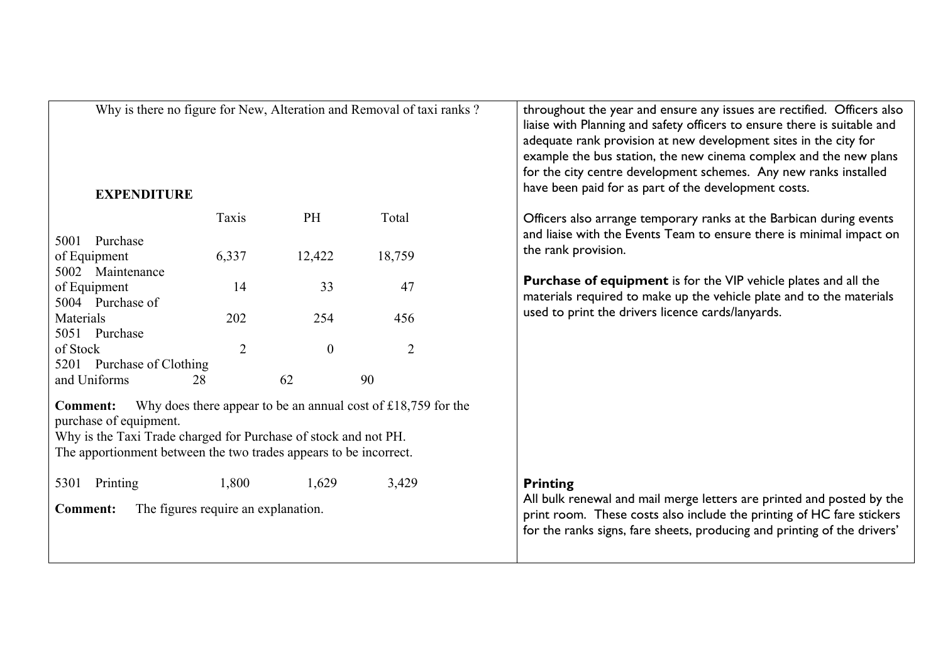| <b>EXPENDITURE</b>                                                                                                                                                                |                                              |                  | Why is there no figure for New, Alteration and Removal of taxi ranks? | throughout the year and ensure any issues are rectified. Officers also<br>liaise with Planning and safety officers to ensure there is suitable and<br>adequate rank provision at new development sites in the city for<br>example the bus station, the new cinema complex and the new plans<br>for the city centre development schemes. Any new ranks installed<br>have been paid for as part of the development costs. |
|-----------------------------------------------------------------------------------------------------------------------------------------------------------------------------------|----------------------------------------------|------------------|-----------------------------------------------------------------------|-------------------------------------------------------------------------------------------------------------------------------------------------------------------------------------------------------------------------------------------------------------------------------------------------------------------------------------------------------------------------------------------------------------------------|
|                                                                                                                                                                                   | Taxis                                        | PH               | Total                                                                 | Officers also arrange temporary ranks at the Barbican during events<br>and liaise with the Events Team to ensure there is minimal impact on                                                                                                                                                                                                                                                                             |
| 5001 Purchase<br>of Equipment                                                                                                                                                     | 6,337                                        | 12,422           | 18,759                                                                | the rank provision.                                                                                                                                                                                                                                                                                                                                                                                                     |
| 5002 Maintenance<br>of Equipment<br>5004 Purchase of                                                                                                                              | 14                                           | 33               | 47                                                                    | <b>Purchase of equipment</b> is for the VIP vehicle plates and all the<br>materials required to make up the vehicle plate and to the materials                                                                                                                                                                                                                                                                          |
| Materials<br>5051 Purchase                                                                                                                                                        | 202                                          | 254              | 456                                                                   | used to print the drivers licence cards/lanyards.                                                                                                                                                                                                                                                                                                                                                                       |
| of Stock<br>5201 Purchase of Clothing                                                                                                                                             | $\overline{2}$                               | $\boldsymbol{0}$ | $\overline{2}$                                                        |                                                                                                                                                                                                                                                                                                                                                                                                                         |
| and Uniforms                                                                                                                                                                      | 28                                           | 62               | 90                                                                    |                                                                                                                                                                                                                                                                                                                                                                                                                         |
| <b>Comment:</b><br>purchase of equipment.<br>Why is the Taxi Trade charged for Purchase of stock and not PH.<br>The apportionment between the two trades appears to be incorrect. |                                              |                  | Why does there appear to be an annual cost of $£18,759$ for the       |                                                                                                                                                                                                                                                                                                                                                                                                                         |
| 5301 Printing<br><b>Comment:</b>                                                                                                                                                  | 1,800<br>The figures require an explanation. | 1,629            | 3,429                                                                 | <b>Printing</b><br>All bulk renewal and mail merge letters are printed and posted by the<br>print room. These costs also include the printing of HC fare stickers<br>for the ranks signs, fare sheets, producing and printing of the drivers'                                                                                                                                                                           |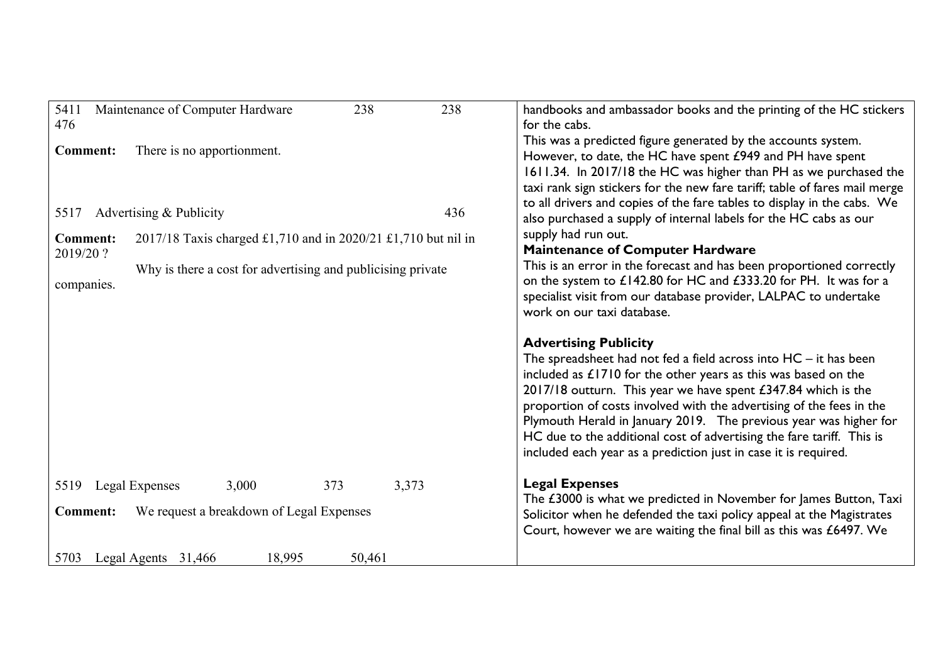| 5411<br>476                               | Maintenance of Computer Hardware                              | 238    | 238 | handbooks and ambassador books and the printing of the HC stickers<br>for the cabs.                                                                                                                                                                                                                                                                                                                                                                                                                                              |
|-------------------------------------------|---------------------------------------------------------------|--------|-----|----------------------------------------------------------------------------------------------------------------------------------------------------------------------------------------------------------------------------------------------------------------------------------------------------------------------------------------------------------------------------------------------------------------------------------------------------------------------------------------------------------------------------------|
| <b>Comment:</b>                           | There is no apportionment.                                    |        |     | This was a predicted figure generated by the accounts system.<br>However, to date, the HC have spent £949 and PH have spent<br>1611.34. In 2017/18 the HC was higher than PH as we purchased the<br>taxi rank sign stickers for the new fare tariff; table of fares mail merge                                                                                                                                                                                                                                                   |
| 5517                                      | Advertising & Publicity                                       |        | 436 | to all drivers and copies of the fare tables to display in the cabs. We<br>also purchased a supply of internal labels for the HC cabs as our                                                                                                                                                                                                                                                                                                                                                                                     |
| <b>Comment:</b><br>2019/20 ?              | 2017/18 Taxis charged £1,710 and in 2020/21 £1,710 but nil in |        |     | supply had run out.<br><b>Maintenance of Computer Hardware</b>                                                                                                                                                                                                                                                                                                                                                                                                                                                                   |
| companies.                                | Why is there a cost for advertising and publicising private   |        |     | This is an error in the forecast and has been proportioned correctly<br>on the system to £142.80 for HC and £333.20 for PH. It was for a<br>specialist visit from our database provider, LALPAC to undertake<br>work on our taxi database.                                                                                                                                                                                                                                                                                       |
|                                           |                                                               |        |     | <b>Advertising Publicity</b><br>The spreadsheet had not fed a field across into $HC - it$ has been<br>included as $£1710$ for the other years as this was based on the<br>2017/18 outturn. This year we have spent £347.84 which is the<br>proportion of costs involved with the advertising of the fees in the<br>Plymouth Herald in January 2019. The previous year was higher for<br>HC due to the additional cost of advertising the fare tariff. This is<br>included each year as a prediction just in case it is required. |
| Legal Expenses<br>5519<br><b>Comment:</b> | 3,000<br>373<br>We request a breakdown of Legal Expenses      | 3,373  |     | <b>Legal Expenses</b><br>The £3000 is what we predicted in November for James Button, Taxi<br>Solicitor when he defended the taxi policy appeal at the Magistrates<br>Court, however we are waiting the final bill as this was £6497. We                                                                                                                                                                                                                                                                                         |
| 5703<br>Legal Agents 31,466               | 18,995                                                        | 50,461 |     |                                                                                                                                                                                                                                                                                                                                                                                                                                                                                                                                  |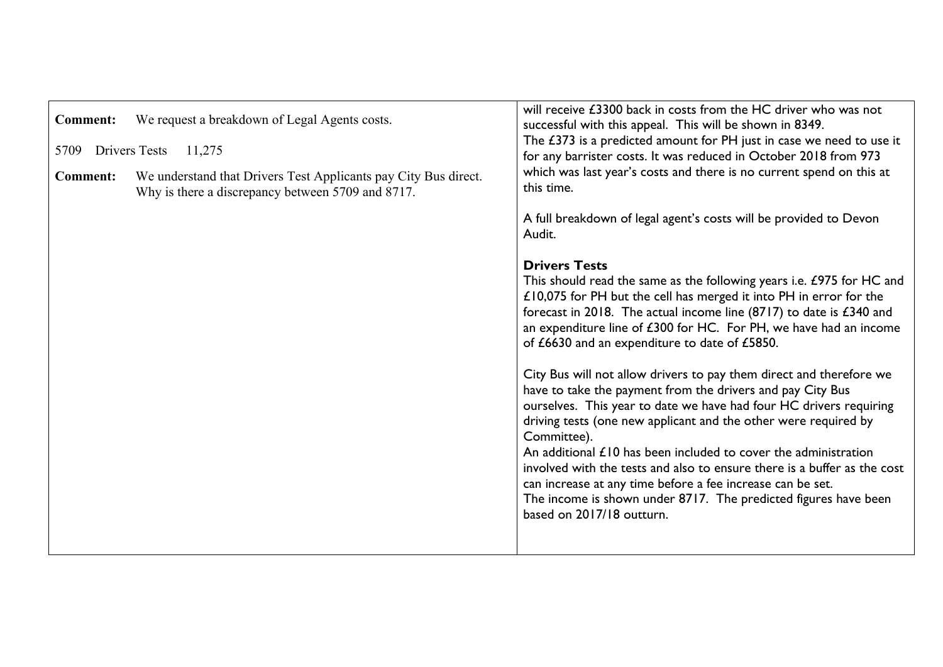| will receive £3300 back in costs from the HC driver who was not                                                                                                                                                                                                                                                                                                                                                                                                                                                                                                                                                                                                                                                                                                                                                                                                                                                                                                              |
|------------------------------------------------------------------------------------------------------------------------------------------------------------------------------------------------------------------------------------------------------------------------------------------------------------------------------------------------------------------------------------------------------------------------------------------------------------------------------------------------------------------------------------------------------------------------------------------------------------------------------------------------------------------------------------------------------------------------------------------------------------------------------------------------------------------------------------------------------------------------------------------------------------------------------------------------------------------------------|
| successful with this appeal. This will be shown in 8349.                                                                                                                                                                                                                                                                                                                                                                                                                                                                                                                                                                                                                                                                                                                                                                                                                                                                                                                     |
| The $£373$ is a predicted amount for PH just in case we need to use it<br>for any barrister costs. It was reduced in October 2018 from 973                                                                                                                                                                                                                                                                                                                                                                                                                                                                                                                                                                                                                                                                                                                                                                                                                                   |
| which was last year's costs and there is no current spend on this at<br>this time.                                                                                                                                                                                                                                                                                                                                                                                                                                                                                                                                                                                                                                                                                                                                                                                                                                                                                           |
| A full breakdown of legal agent's costs will be provided to Devon<br>Audit.                                                                                                                                                                                                                                                                                                                                                                                                                                                                                                                                                                                                                                                                                                                                                                                                                                                                                                  |
| <b>Drivers Tests</b><br>This should read the same as the following years i.e. £975 for HC and<br>£10,075 for PH but the cell has merged it into PH in error for the<br>forecast in 2018. The actual income line (8717) to date is $£340$ and<br>an expenditure line of £300 for HC. For PH, we have had an income<br>of £6630 and an expenditure to date of £5850.<br>City Bus will not allow drivers to pay them direct and therefore we<br>have to take the payment from the drivers and pay City Bus<br>ourselves. This year to date we have had four HC drivers requiring<br>driving tests (one new applicant and the other were required by<br>Committee).<br>An additional £10 has been included to cover the administration<br>involved with the tests and also to ensure there is a buffer as the cost<br>can increase at any time before a fee increase can be set.<br>The income is shown under 8717. The predicted figures have been<br>based on 2017/18 outturn. |
|                                                                                                                                                                                                                                                                                                                                                                                                                                                                                                                                                                                                                                                                                                                                                                                                                                                                                                                                                                              |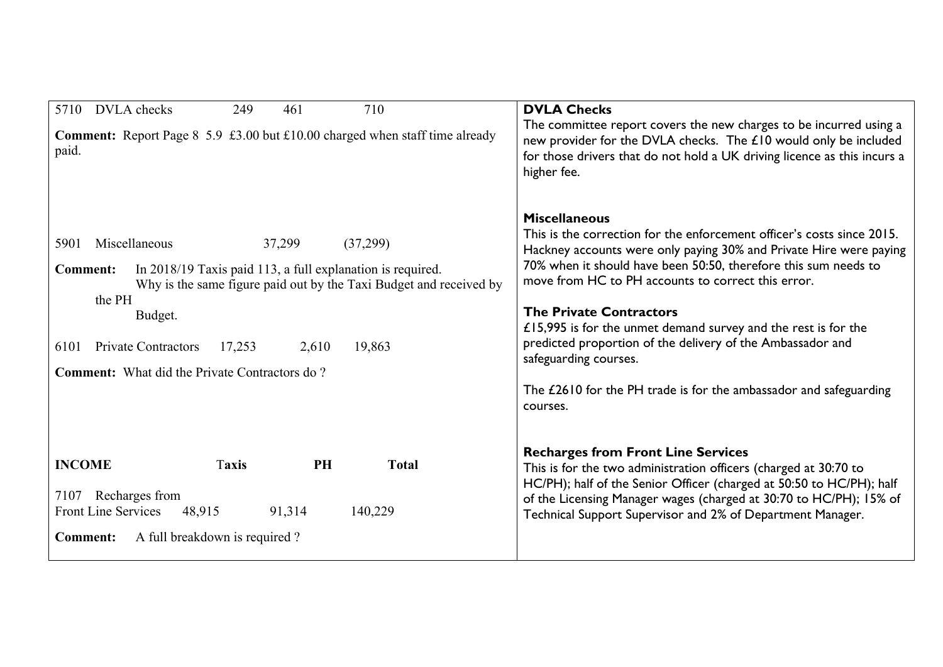| DVLA checks<br>5710<br>249<br>461<br>710<br><b>Comment:</b> Report Page 8 5.9 £3.00 but £10.00 charged when staff time already<br>paid.                                                                                                                                                                                                            | <b>DVLA Checks</b><br>The committee report covers the new charges to be incurred using a<br>new provider for the DVLA checks. The £10 would only be included<br>for those drivers that do not hold a UK driving licence as this incurs a<br>higher fee.                                                                                                                                                                                                                                                                                                                   |
|----------------------------------------------------------------------------------------------------------------------------------------------------------------------------------------------------------------------------------------------------------------------------------------------------------------------------------------------------|---------------------------------------------------------------------------------------------------------------------------------------------------------------------------------------------------------------------------------------------------------------------------------------------------------------------------------------------------------------------------------------------------------------------------------------------------------------------------------------------------------------------------------------------------------------------------|
| Miscellaneous<br>37,299<br>(37,299)<br>5901<br>In 2018/19 Taxis paid 113, a full explanation is required.<br><b>Comment:</b><br>Why is the same figure paid out by the Taxi Budget and received by<br>the PH<br>Budget.<br><b>Private Contractors</b><br>17,253<br>2,610<br>19,863<br>6101<br><b>Comment:</b> What did the Private Contractors do? | <b>Miscellaneous</b><br>This is the correction for the enforcement officer's costs since 2015.<br>Hackney accounts were only paying 30% and Private Hire were paying<br>70% when it should have been 50:50, therefore this sum needs to<br>move from HC to PH accounts to correct this error.<br><b>The Private Contractors</b><br>£15,995 is for the unmet demand survey and the rest is for the<br>predicted proportion of the delivery of the Ambassador and<br>safeguarding courses.<br>The £2610 for the PH trade is for the ambassador and safeguarding<br>courses. |
| <b>INCOME</b><br><b>PH</b><br>Taxis<br><b>Total</b><br>7107 Recharges from<br><b>Front Line Services</b><br>91,314<br>140,229<br>48,915<br>A full breakdown is required?<br><b>Comment:</b>                                                                                                                                                        | <b>Recharges from Front Line Services</b><br>This is for the two administration officers (charged at 30:70 to<br>HC/PH); half of the Senior Officer (charged at 50:50 to HC/PH); half<br>of the Licensing Manager wages (charged at 30:70 to HC/PH); 15% of<br>Technical Support Supervisor and 2% of Department Manager.                                                                                                                                                                                                                                                 |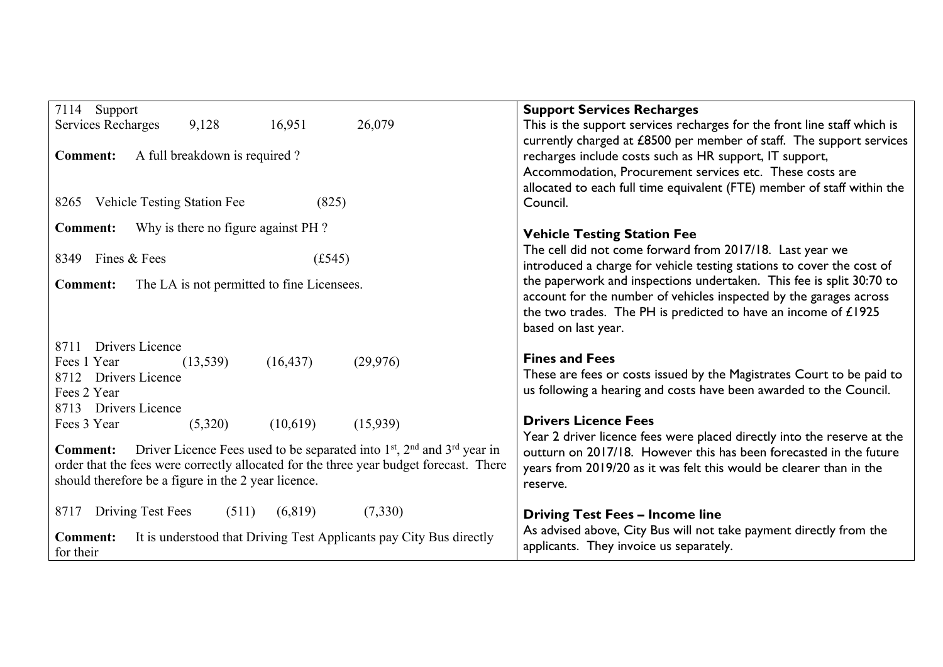| 7114 Support                                                                                  | <b>Support Services Recharges</b>                                        |
|-----------------------------------------------------------------------------------------------|--------------------------------------------------------------------------|
|                                                                                               |                                                                          |
| 16,951<br>26,079<br>Services Recharges<br>9,128                                               | This is the support services recharges for the front line staff which is |
|                                                                                               | currently charged at £8500 per member of staff. The support services     |
| A full breakdown is required?<br><b>Comment:</b>                                              | recharges include costs such as HR support, IT support,                  |
|                                                                                               | Accommodation, Procurement services etc. These costs are                 |
|                                                                                               | allocated to each full time equivalent (FTE) member of staff within the  |
| 8265<br><b>Vehicle Testing Station Fee</b><br>(825)                                           | Council.                                                                 |
| Why is there no figure against PH?<br><b>Comment:</b>                                         | <b>Vehicle Testing Station Fee</b>                                       |
|                                                                                               | The cell did not come forward from 2017/18. Last year we                 |
| 8349 Fines & Fees<br>(f.545)                                                                  | introduced a charge for vehicle testing stations to cover the cost of    |
| The LA is not permitted to fine Licensees.<br><b>Comment:</b>                                 | the paperwork and inspections undertaken. This fee is split 30:70 to     |
|                                                                                               | account for the number of vehicles inspected by the garages across       |
|                                                                                               | the two trades. The PH is predicted to have an income of £1925           |
|                                                                                               | based on last year.                                                      |
|                                                                                               |                                                                          |
| Drivers Licence<br>8711                                                                       | <b>Fines and Fees</b>                                                    |
| Fees 1 Year<br>(13, 539)<br>(16, 437)<br>(29, 976)                                            |                                                                          |
| 8712 Drivers Licence                                                                          | These are fees or costs issued by the Magistrates Court to be paid to    |
| Fees 2 Year                                                                                   | us following a hearing and costs have been awarded to the Council.       |
| 8713 Drivers Licence                                                                          |                                                                          |
| Fees 3 Year<br>(15,939)<br>(5,320)<br>(10,619)                                                | <b>Drivers Licence Fees</b>                                              |
|                                                                                               | Year 2 driver licence fees were placed directly into the reserve at the  |
| <b>Comment:</b> Driver Licence Fees used to be separated into $1st$ , $2nd$ and $3rd$ year in | outturn on 2017/18. However this has been forecasted in the future       |
| order that the fees were correctly allocated for the three year budget forecast. There        | years from 2019/20 as it was felt this would be clearer than in the      |
| should therefore be a figure in the 2 year licence.                                           | reserve.                                                                 |
|                                                                                               |                                                                          |
| 8717<br>Driving Test Fees<br>(7,330)<br>(6, 819)<br>(511)                                     | <b>Driving Test Fees - Income line</b>                                   |
| It is understood that Driving Test Applicants pay City Bus directly<br><b>Comment:</b>        | As advised above, City Bus will not take payment directly from the       |
| for their                                                                                     | applicants. They invoice us separately.                                  |
|                                                                                               |                                                                          |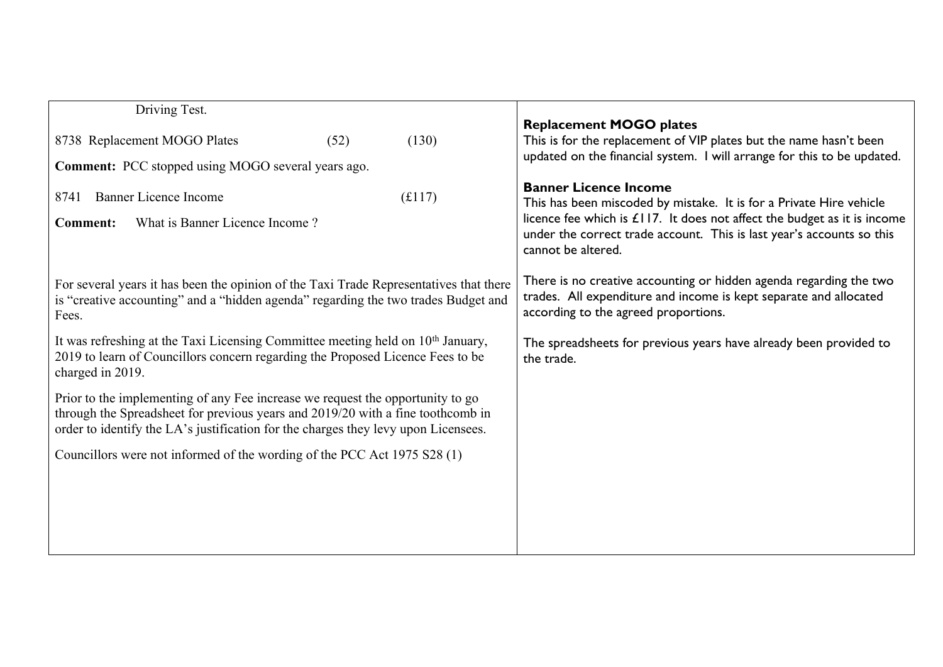| Driving Test.                                                                                                                                                                                                                                           |      |                                                                                                                                                                                                                                                                                  |                                                                                                                                                                                 |
|---------------------------------------------------------------------------------------------------------------------------------------------------------------------------------------------------------------------------------------------------------|------|----------------------------------------------------------------------------------------------------------------------------------------------------------------------------------------------------------------------------------------------------------------------------------|---------------------------------------------------------------------------------------------------------------------------------------------------------------------------------|
| 8738 Replacement MOGO Plates<br><b>Comment:</b> PCC stopped using MOGO several years ago.                                                                                                                                                               | (52) | (130)                                                                                                                                                                                                                                                                            | <b>Replacement MOGO plates</b><br>This is for the replacement of VIP plates but the name hasn't been<br>updated on the financial system. I will arrange for this to be updated. |
| Banner Licence Income<br>8741<br>What is Banner Licence Income?<br><b>Comment:</b>                                                                                                                                                                      |      | <b>Banner Licence Income</b><br>This has been miscoded by mistake. It is for a Private Hire vehicle<br>licence fee which is $£117.$ It does not affect the budget as it is income<br>under the correct trade account. This is last year's accounts so this<br>cannot be altered. |                                                                                                                                                                                 |
| For several years it has been the opinion of the Taxi Trade Representatives that there<br>is "creative accounting" and a "hidden agenda" regarding the two trades Budget and<br>Fees.                                                                   |      |                                                                                                                                                                                                                                                                                  | There is no creative accounting or hidden agenda regarding the two<br>trades. All expenditure and income is kept separate and allocated<br>according to the agreed proportions. |
| It was refreshing at the Taxi Licensing Committee meeting held on 10 <sup>th</sup> January,<br>2019 to learn of Councillors concern regarding the Proposed Licence Fees to be<br>charged in 2019.                                                       |      | The spreadsheets for previous years have already been provided to<br>the trade.                                                                                                                                                                                                  |                                                                                                                                                                                 |
| Prior to the implementing of any Fee increase we request the opportunity to go<br>through the Spreadsheet for previous years and 2019/20 with a fine toothcomb in<br>order to identify the LA's justification for the charges they levy upon Licensees. |      |                                                                                                                                                                                                                                                                                  |                                                                                                                                                                                 |
| Councillors were not informed of the wording of the PCC Act 1975 S28 (1)                                                                                                                                                                                |      |                                                                                                                                                                                                                                                                                  |                                                                                                                                                                                 |
|                                                                                                                                                                                                                                                         |      |                                                                                                                                                                                                                                                                                  |                                                                                                                                                                                 |
|                                                                                                                                                                                                                                                         |      |                                                                                                                                                                                                                                                                                  |                                                                                                                                                                                 |
|                                                                                                                                                                                                                                                         |      |                                                                                                                                                                                                                                                                                  |                                                                                                                                                                                 |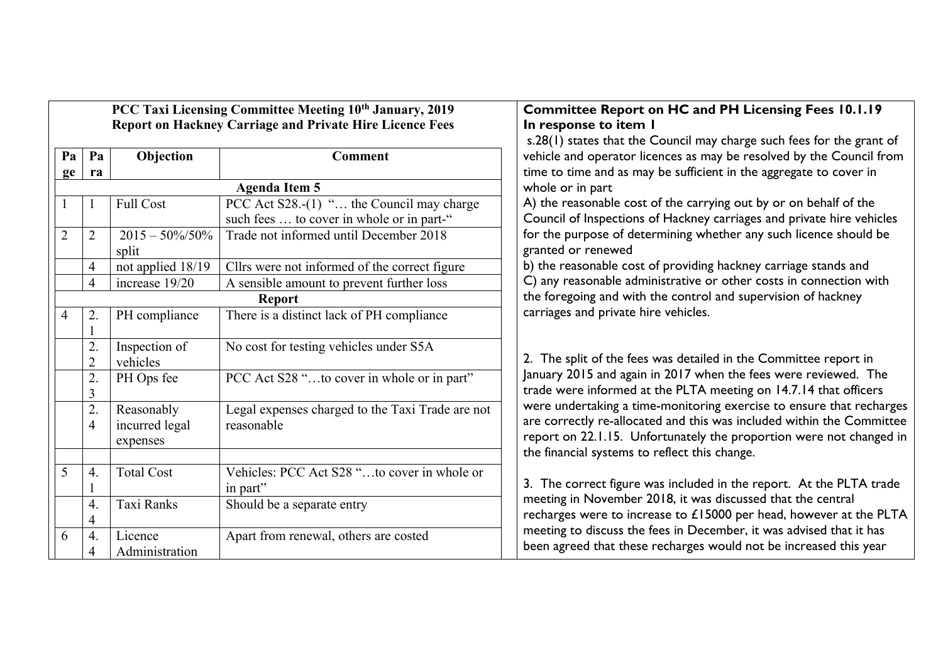|                |                          |                                          | PCC Taxi Licensing Committee Meeting 10th January, 2019<br><b>Report on Hackney Carriage and Private Hire Licence Fees</b> | <b>Committee Report on HC and PH Licensing Fees 10.1.19</b><br>In response to item I<br>s.28(1) states that the Council may charge such fees for the grant of                                                                                                         |  |  |
|----------------|--------------------------|------------------------------------------|----------------------------------------------------------------------------------------------------------------------------|-----------------------------------------------------------------------------------------------------------------------------------------------------------------------------------------------------------------------------------------------------------------------|--|--|
| Pa<br>ge       | Pa<br>ra                 | Objection                                | <b>Comment</b>                                                                                                             | vehicle and operator licences as may be resolved by the Council from<br>time to time and as may be sufficient in the aggregate to cover in                                                                                                                            |  |  |
|                |                          |                                          | <b>Agenda Item 5</b>                                                                                                       | whole or in part                                                                                                                                                                                                                                                      |  |  |
|                |                          | <b>Full Cost</b>                         | PCC Act S28.-(1) " the Council may charge<br>such fees  to cover in whole or in part-"                                     | A) the reasonable cost of the carrying out by or on behalf of the<br>Council of Inspections of Hackney carriages and private hire vehicles                                                                                                                            |  |  |
| $\overline{2}$ | $\overline{2}$           | $2015 - 50\%/50\%$<br>split              | Trade not informed until December 2018                                                                                     | for the purpose of determining whether any such licence should be<br>granted or renewed                                                                                                                                                                               |  |  |
|                | $\overline{\mathcal{A}}$ | not applied 18/19                        | Cllrs were not informed of the correct figure                                                                              | b) the reasonable cost of providing hackney carriage stands and                                                                                                                                                                                                       |  |  |
|                | $\overline{4}$           | increase 19/20                           | A sensible amount to prevent further loss                                                                                  | C) any reasonable administrative or other costs in connection with                                                                                                                                                                                                    |  |  |
|                |                          |                                          | <b>Report</b>                                                                                                              | the foregoing and with the control and supervision of hackney                                                                                                                                                                                                         |  |  |
| $\overline{4}$ | 2.                       | PH compliance                            | There is a distinct lack of PH compliance                                                                                  | carriages and private hire vehicles.                                                                                                                                                                                                                                  |  |  |
|                | 2.                       | Inspection of<br>vehicles                | No cost for testing vehicles under S5A                                                                                     | 2. The split of the fees was detailed in the Committee report in                                                                                                                                                                                                      |  |  |
|                | $\overline{2}$<br>3      | PH Ops fee                               | PCC Act S28 "to cover in whole or in part"                                                                                 | January 2015 and again in 2017 when the fees were reviewed. The<br>trade were informed at the PLTA meeting on 14.7.14 that officers                                                                                                                                   |  |  |
|                | 2.<br>4                  | Reasonably<br>incurred legal<br>expenses | Legal expenses charged to the Taxi Trade are not<br>reasonable                                                             | were undertaking a time-monitoring exercise to ensure that recharges<br>are correctly re-allocated and this was included within the Committee<br>report on 22.1.15. Unfortunately the proportion were not changed in<br>the financial systems to reflect this change. |  |  |
| 5              | 4.                       | <b>Total Cost</b>                        | Vehicles: PCC Act S28 "to cover in whole or<br>in part"                                                                    | 3. The correct figure was included in the report. At the PLTA trade                                                                                                                                                                                                   |  |  |
|                | 4.<br>4                  | Taxi Ranks                               | Should be a separate entry                                                                                                 | meeting in November 2018, it was discussed that the central<br>recharges were to increase to £15000 per head, however at the PLTA                                                                                                                                     |  |  |
| 6              | 4.<br>4                  | Licence<br>Administration                | Apart from renewal, others are costed                                                                                      | meeting to discuss the fees in December, it was advised that it has<br>been agreed that these recharges would not be increased this year                                                                                                                              |  |  |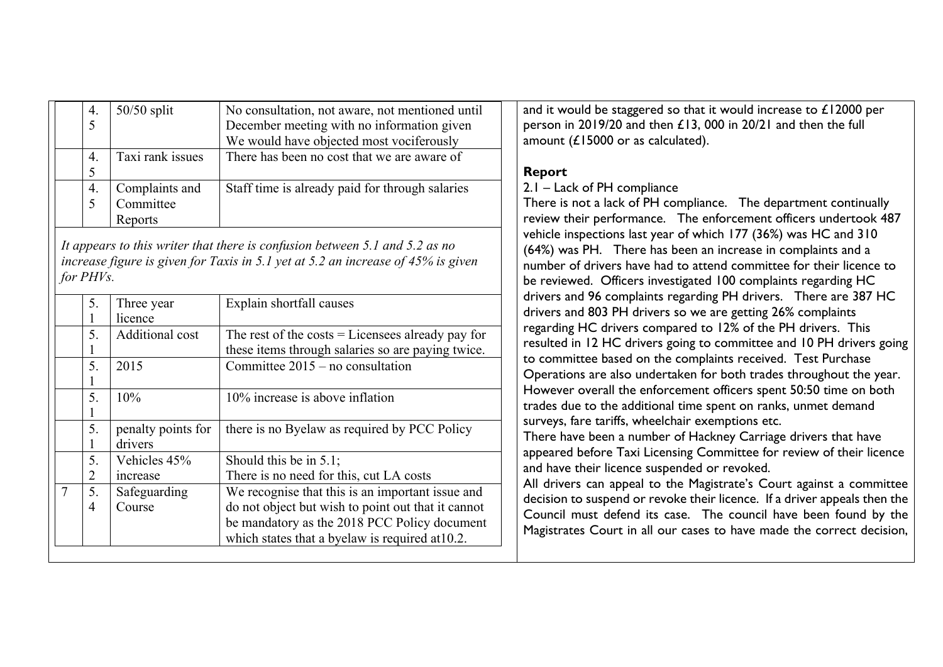|                | 4.             | $50/50$ split      | No consultation, not aware, not mentioned until                                                                                                                 |
|----------------|----------------|--------------------|-----------------------------------------------------------------------------------------------------------------------------------------------------------------|
|                | 5              |                    | December meeting with no information given                                                                                                                      |
|                |                |                    | We would have objected most vociferously                                                                                                                        |
|                | 4.             | Taxi rank issues   | There has been no cost that we are aware of                                                                                                                     |
|                | 5              |                    |                                                                                                                                                                 |
|                | 4.             | Complaints and     | Staff time is already paid for through salaries                                                                                                                 |
|                | 5              | Committee          |                                                                                                                                                                 |
|                |                | Reports            |                                                                                                                                                                 |
|                | for PHVs.      |                    | It appears to this writer that there is confusion between 5.1 and 5.2 as no<br>increase figure is given for Taxis in 5.1 yet at 5.2 an increase of 45% is given |
|                | 5.             | Three year         | Explain shortfall causes                                                                                                                                        |
|                | 1              | licence            |                                                                                                                                                                 |
|                | 5.             | Additional cost    | The rest of the costs $=$ Licensees already pay for                                                                                                             |
|                |                |                    | these items through salaries so are paying twice.                                                                                                               |
|                | 5.             | 2015               | Committee $2015$ – no consultation                                                                                                                              |
|                | 1              |                    |                                                                                                                                                                 |
|                | 5.             | 10%                | 10% increase is above inflation                                                                                                                                 |
|                | 1              |                    |                                                                                                                                                                 |
|                | 5.             | penalty points for | there is no Byelaw as required by PCC Policy                                                                                                                    |
|                | 1              | drivers            |                                                                                                                                                                 |
|                | 5.             | Vehicles 45%       | Should this be in $5.1$ ;                                                                                                                                       |
|                | $\overline{2}$ | increase           | There is no need for this, cut LA costs                                                                                                                         |
| $\overline{7}$ | 5.             | Safeguarding       | We recognise that this is an important issue and                                                                                                                |
|                |                | Course             | do not object but wish to point out that it cannot                                                                                                              |
|                | 4              |                    |                                                                                                                                                                 |
|                |                |                    | be mandatory as the 2018 PCC Policy document<br>which states that a byelaw is required at 10.2.                                                                 |

and it would be staggered so that it would increase to £12000 per person in 2019/20 and then £13, 000 in 20/21 and then the full amount (£15000 or as calculated).

## **Report**

## 2.1 – Lack of PH compliance

There is not a lack of PH compliance. The department continually review their performance. The enforcement officers undertook 487 vehicle inspections last year of which 177 (36%) was HC and 310 (64%) was PH. There has been an increase in complaints and a number of drivers have had to attend committee for their licence to be reviewed. Officers investigated 100 complaints regarding HC drivers and 96 complaints regarding PH drivers. There are 387 HC drivers and 803 PH drivers so we are getting 26% complaints regarding HC drivers compared to 12% of the PH drivers. This resulted in 12 HC drivers going to committee and 10 PH drivers going to committee based on the complaints received. Test Purchase Operations are also undertaken for both trades throughout the year. However overall the enforcement officers spent 50:50 time on both trades due to the additional time spent on ranks, unmet demand surveys, fare tariffs, wheelchair exemptions etc. There have been a number of Hackney Carriage drivers that have

appeared before Taxi Licensing Committee for review of their licence and have their licence suspended or revoked.

All drivers can appeal to the Magistrate's Court against a committee decision to suspend or revoke their licence. If a driver appeals then the Council must defend its case. The council have been found by the Magistrates Court in all our cases to have made the correct decision,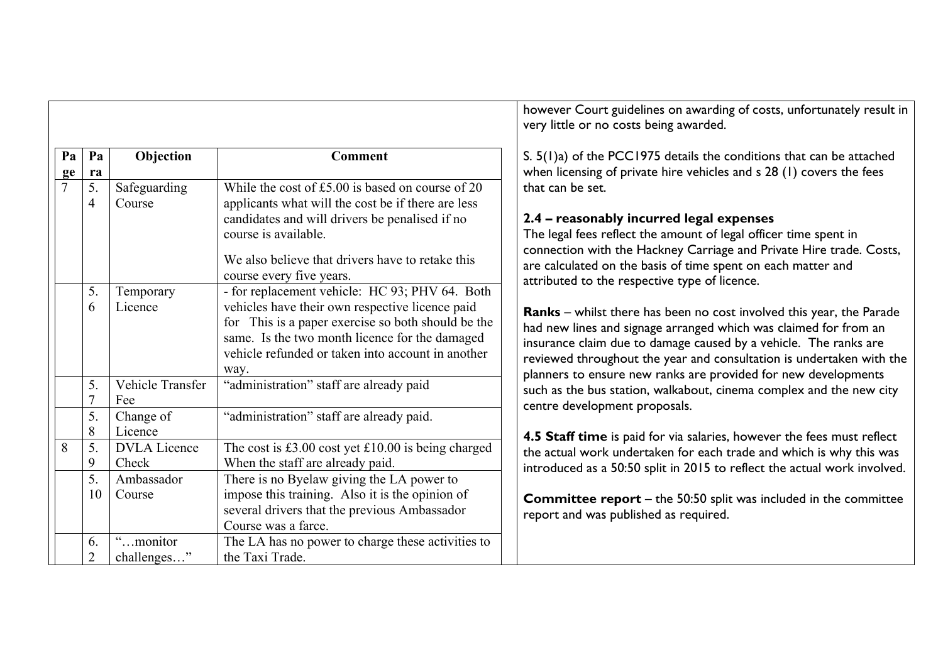|          |                      |                                           |                                                                                                                                                                                                                                                                        | however Court guidelines on awarding of costs, unfortunately result in<br>very little or no costs being awarded.                                                                                                                                                                                                                                              |
|----------|----------------------|-------------------------------------------|------------------------------------------------------------------------------------------------------------------------------------------------------------------------------------------------------------------------------------------------------------------------|---------------------------------------------------------------------------------------------------------------------------------------------------------------------------------------------------------------------------------------------------------------------------------------------------------------------------------------------------------------|
| Pa<br>ge | Pa<br>ra             | Objection                                 | <b>Comment</b>                                                                                                                                                                                                                                                         | S. $5(1)a$ ) of the PCC1975 details the conditions that can be attached<br>when licensing of private hire vehicles and s 28 (1) covers the fees                                                                                                                                                                                                               |
|          | 5.<br>4              | Safeguarding<br>Course                    | While the cost of $£5.00$ is based on course of 20<br>applicants what will the cost be if there are less<br>candidates and will drivers be penalised if no<br>course is available.<br>We also believe that drivers have to retake this<br>course every five years.     | that can be set.<br>2.4 - reasonably incurred legal expenses<br>The legal fees reflect the amount of legal officer time spent in<br>connection with the Hackney Carriage and Private Hire trade. Costs,<br>are calculated on the basis of time spent on each matter and<br>attributed to the respective type of licence.                                      |
|          | 5.<br>6              | Temporary<br>Licence                      | - for replacement vehicle: HC 93; PHV 64. Both<br>vehicles have their own respective licence paid<br>for This is a paper exercise so both should be the<br>same. Is the two month licence for the damaged<br>vehicle refunded or taken into account in another<br>way. | <b>Ranks</b> – whilst there has been no cost involved this year, the Parade<br>had new lines and signage arranged which was claimed for from an<br>insurance claim due to damage caused by a vehicle. The ranks are<br>reviewed throughout the year and consultation is undertaken with the<br>planners to ensure new ranks are provided for new developments |
|          | 5.                   | Vehicle Transfer<br>Fee                   | "administration" staff are already paid                                                                                                                                                                                                                                | such as the bus station, walkabout, cinema complex and the new city<br>centre development proposals.                                                                                                                                                                                                                                                          |
|          | 5.<br>8              | Change of<br>Licence                      | "administration" staff are already paid.                                                                                                                                                                                                                               | 4.5 Staff time is paid for via salaries, however the fees must reflect                                                                                                                                                                                                                                                                                        |
| 8        | 5.<br>9              | <b>DVLA</b> Licence<br>Check              | The cost is $£3.00$ cost yet £10.00 is being charged<br>When the staff are already paid.                                                                                                                                                                               | the actual work undertaken for each trade and which is why this was<br>introduced as a 50:50 split in 2015 to reflect the actual work involved.                                                                                                                                                                                                               |
|          | 5.<br>10             | Ambassador<br>Course                      | There is no Byelaw giving the LA power to<br>impose this training. Also it is the opinion of<br>several drivers that the previous Ambassador<br>Course was a farce.                                                                                                    | <b>Committee report</b> – the 50:50 split was included in the committee<br>report and was published as required.                                                                                                                                                                                                                                              |
|          | 6.<br>$\overline{2}$ | $\zeta$ $\zeta$<br>monitor<br>challenges" | The LA has no power to charge these activities to<br>the Taxi Trade.                                                                                                                                                                                                   |                                                                                                                                                                                                                                                                                                                                                               |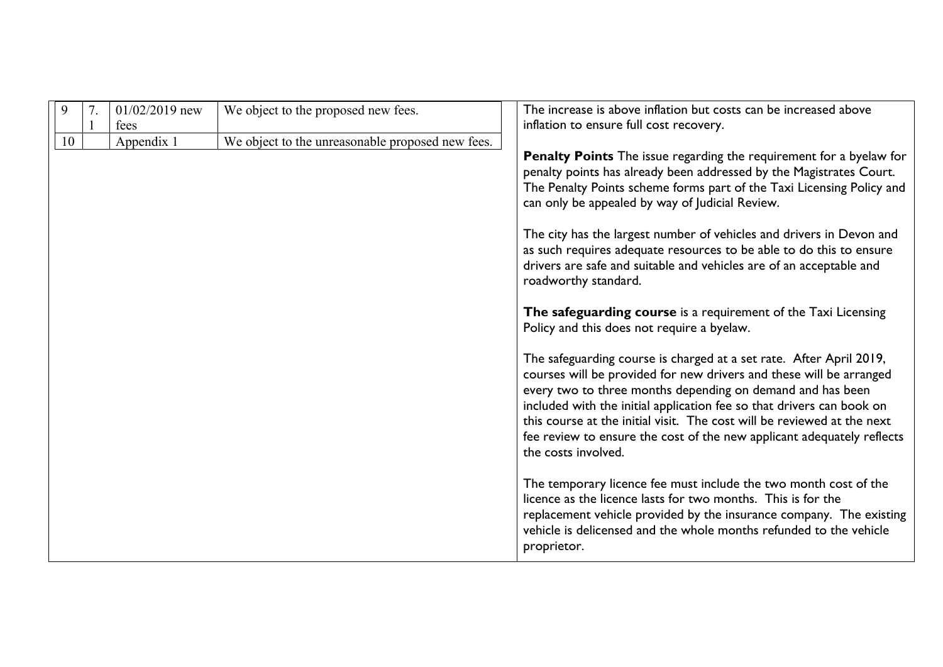| 9  | $01/02/2019$ new<br>fees | We object to the proposed new fees.              | The increase is above inflation but costs can be increased above<br>inflation to ensure full cost recovery.                                                                                                                                                                                                                                                                                                                                                                                                                                                                                                                                                                                                                                                                                                                                                                                                                                                                                                                                                                                                                                                                                                                                                                                                                                                                                   |
|----|--------------------------|--------------------------------------------------|-----------------------------------------------------------------------------------------------------------------------------------------------------------------------------------------------------------------------------------------------------------------------------------------------------------------------------------------------------------------------------------------------------------------------------------------------------------------------------------------------------------------------------------------------------------------------------------------------------------------------------------------------------------------------------------------------------------------------------------------------------------------------------------------------------------------------------------------------------------------------------------------------------------------------------------------------------------------------------------------------------------------------------------------------------------------------------------------------------------------------------------------------------------------------------------------------------------------------------------------------------------------------------------------------------------------------------------------------------------------------------------------------|
|    |                          |                                                  |                                                                                                                                                                                                                                                                                                                                                                                                                                                                                                                                                                                                                                                                                                                                                                                                                                                                                                                                                                                                                                                                                                                                                                                                                                                                                                                                                                                               |
| 10 | Appendix 1               | We object to the unreasonable proposed new fees. | <b>Penalty Points</b> The issue regarding the requirement for a byelaw for<br>penalty points has already been addressed by the Magistrates Court.<br>The Penalty Points scheme forms part of the Taxi Licensing Policy and<br>can only be appealed by way of Judicial Review.<br>The city has the largest number of vehicles and drivers in Devon and<br>as such requires adequate resources to be able to do this to ensure<br>drivers are safe and suitable and vehicles are of an acceptable and<br>roadworthy standard.<br>The safeguarding course is a requirement of the Taxi Licensing<br>Policy and this does not require a byelaw.<br>The safeguarding course is charged at a set rate. After April 2019,<br>courses will be provided for new drivers and these will be arranged<br>every two to three months depending on demand and has been<br>included with the initial application fee so that drivers can book on<br>this course at the initial visit. The cost will be reviewed at the next<br>fee review to ensure the cost of the new applicant adequately reflects<br>the costs involved.<br>The temporary licence fee must include the two month cost of the<br>licence as the licence lasts for two months. This is for the<br>replacement vehicle provided by the insurance company. The existing<br>vehicle is delicensed and the whole months refunded to the vehicle |
|    |                          |                                                  | proprietor.                                                                                                                                                                                                                                                                                                                                                                                                                                                                                                                                                                                                                                                                                                                                                                                                                                                                                                                                                                                                                                                                                                                                                                                                                                                                                                                                                                                   |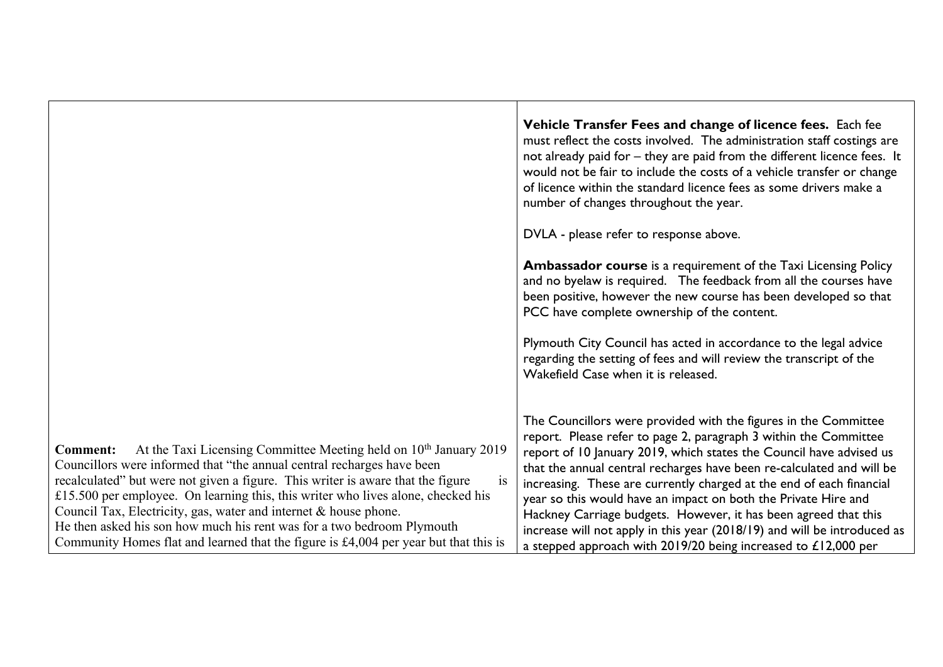|                                                                                                                                                                                                                                                                                                                                                                                                                                                                                                                                                                                                 | Vehicle Transfer Fees and change of licence fees. Each fee<br>must reflect the costs involved. The administration staff costings are<br>not already paid for - they are paid from the different licence fees. It<br>would not be fair to include the costs of a vehicle transfer or change<br>of licence within the standard licence fees as some drivers make a<br>number of changes throughout the year.                                                                                                                                                                                                                                     |
|-------------------------------------------------------------------------------------------------------------------------------------------------------------------------------------------------------------------------------------------------------------------------------------------------------------------------------------------------------------------------------------------------------------------------------------------------------------------------------------------------------------------------------------------------------------------------------------------------|------------------------------------------------------------------------------------------------------------------------------------------------------------------------------------------------------------------------------------------------------------------------------------------------------------------------------------------------------------------------------------------------------------------------------------------------------------------------------------------------------------------------------------------------------------------------------------------------------------------------------------------------|
|                                                                                                                                                                                                                                                                                                                                                                                                                                                                                                                                                                                                 | DVLA - please refer to response above.                                                                                                                                                                                                                                                                                                                                                                                                                                                                                                                                                                                                         |
|                                                                                                                                                                                                                                                                                                                                                                                                                                                                                                                                                                                                 | <b>Ambassador course</b> is a requirement of the Taxi Licensing Policy<br>and no byelaw is required. The feedback from all the courses have<br>been positive, however the new course has been developed so that<br>PCC have complete ownership of the content.                                                                                                                                                                                                                                                                                                                                                                                 |
|                                                                                                                                                                                                                                                                                                                                                                                                                                                                                                                                                                                                 | Plymouth City Council has acted in accordance to the legal advice<br>regarding the setting of fees and will review the transcript of the<br>Wakefield Case when it is released.                                                                                                                                                                                                                                                                                                                                                                                                                                                                |
| At the Taxi Licensing Committee Meeting held on 10 <sup>th</sup> January 2019<br><b>Comment:</b><br>Councillors were informed that "the annual central recharges have been<br>recalculated" but were not given a figure. This writer is aware that the figure<br>is<br>$£15.500$ per employee. On learning this, this writer who lives alone, checked his<br>Council Tax, Electricity, gas, water and internet & house phone.<br>He then asked his son how much his rent was for a two bedroom Plymouth<br>Community Homes flat and learned that the figure is £4,004 per year but that this is | The Councillors were provided with the figures in the Committee<br>report. Please refer to page 2, paragraph 3 within the Committee<br>report of 10 January 2019, which states the Council have advised us<br>that the annual central recharges have been re-calculated and will be<br>increasing. These are currently charged at the end of each financial<br>year so this would have an impact on both the Private Hire and<br>Hackney Carriage budgets. However, it has been agreed that this<br>increase will not apply in this year (2018/19) and will be introduced as<br>a stepped approach with 2019/20 being increased to £12,000 per |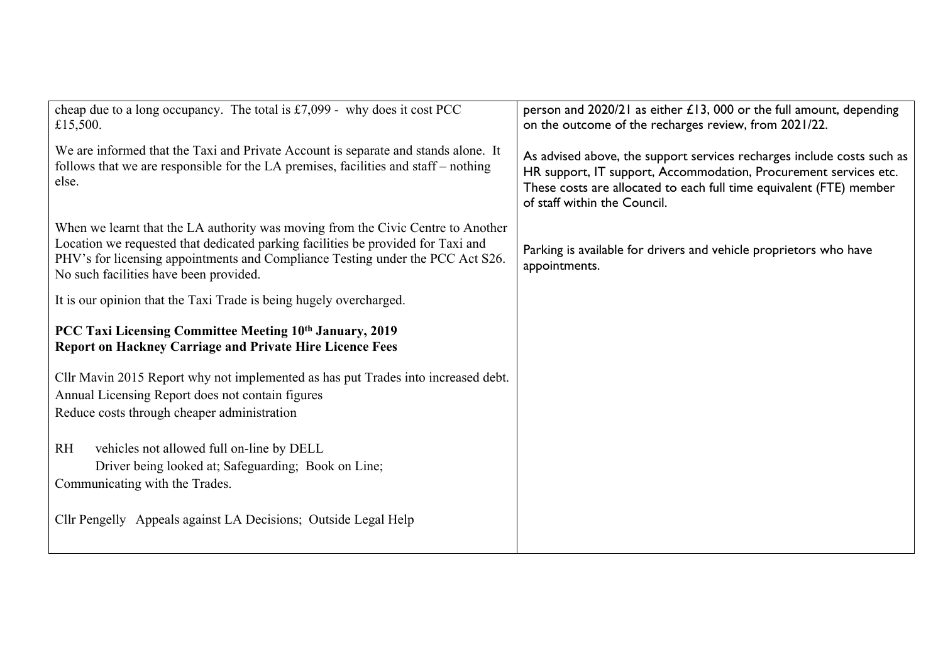| cheap due to a long occupancy. The total is $£7,099$ - why does it cost PCC<br>£15,500.                                                                                                                                                                                                          | person and $2020/21$ as either £13, 000 or the full amount, depending<br>on the outcome of the recharges review, from 2021/22.                                                                                                                    |
|--------------------------------------------------------------------------------------------------------------------------------------------------------------------------------------------------------------------------------------------------------------------------------------------------|---------------------------------------------------------------------------------------------------------------------------------------------------------------------------------------------------------------------------------------------------|
| We are informed that the Taxi and Private Account is separate and stands alone. It<br>follows that we are responsible for the LA premises, facilities and staff – nothing<br>else.                                                                                                               | As advised above, the support services recharges include costs such as<br>HR support, IT support, Accommodation, Procurement services etc.<br>These costs are allocated to each full time equivalent (FTE) member<br>of staff within the Council. |
| When we learnt that the LA authority was moving from the Civic Centre to Another<br>Location we requested that dedicated parking facilities be provided for Taxi and<br>PHV's for licensing appointments and Compliance Testing under the PCC Act S26.<br>No such facilities have been provided. | Parking is available for drivers and vehicle proprietors who have<br>appointments.                                                                                                                                                                |
| It is our opinion that the Taxi Trade is being hugely overcharged.                                                                                                                                                                                                                               |                                                                                                                                                                                                                                                   |
| PCC Taxi Licensing Committee Meeting 10th January, 2019<br><b>Report on Hackney Carriage and Private Hire Licence Fees</b>                                                                                                                                                                       |                                                                                                                                                                                                                                                   |
| Cllr Mavin 2015 Report why not implemented as has put Trades into increased debt.<br>Annual Licensing Report does not contain figures<br>Reduce costs through cheaper administration                                                                                                             |                                                                                                                                                                                                                                                   |
| <b>RH</b><br>vehicles not allowed full on-line by DELL<br>Driver being looked at; Safeguarding; Book on Line;<br>Communicating with the Trades.                                                                                                                                                  |                                                                                                                                                                                                                                                   |
| Cllr Pengelly Appeals against LA Decisions; Outside Legal Help                                                                                                                                                                                                                                   |                                                                                                                                                                                                                                                   |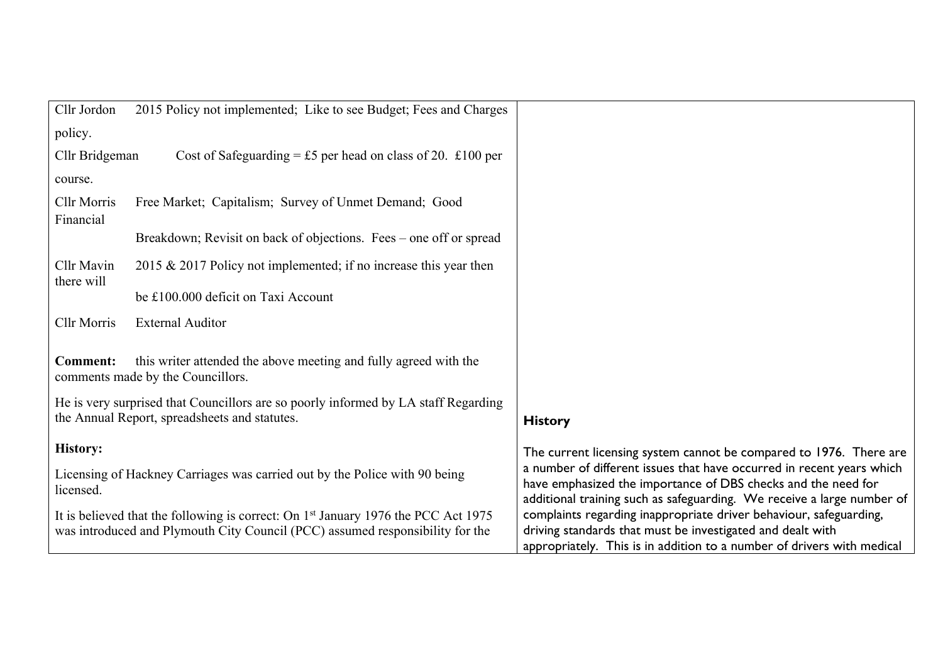| Cllr Jordon                     | 2015 Policy not implemented; Like to see Budget; Fees and Charges                                                                                                               |                                                                                                                                                                                                                  |
|---------------------------------|---------------------------------------------------------------------------------------------------------------------------------------------------------------------------------|------------------------------------------------------------------------------------------------------------------------------------------------------------------------------------------------------------------|
| policy.                         |                                                                                                                                                                                 |                                                                                                                                                                                                                  |
| Cllr Bridgeman                  | Cost of Safeguarding = £5 per head on class of 20. £100 per                                                                                                                     |                                                                                                                                                                                                                  |
| course.                         |                                                                                                                                                                                 |                                                                                                                                                                                                                  |
| <b>Cllr Morris</b><br>Financial | Free Market; Capitalism; Survey of Unmet Demand; Good                                                                                                                           |                                                                                                                                                                                                                  |
|                                 | Breakdown; Revisit on back of objections. Fees – one off or spread                                                                                                              |                                                                                                                                                                                                                  |
| Cllr Mavin<br>there will        | 2015 & 2017 Policy not implemented; if no increase this year then                                                                                                               |                                                                                                                                                                                                                  |
|                                 | be £100,000 deficit on Taxi Account                                                                                                                                             |                                                                                                                                                                                                                  |
| <b>Cllr Morris</b>              | <b>External Auditor</b>                                                                                                                                                         |                                                                                                                                                                                                                  |
|                                 |                                                                                                                                                                                 |                                                                                                                                                                                                                  |
| <b>Comment:</b>                 | this writer attended the above meeting and fully agreed with the<br>comments made by the Councillors.                                                                           |                                                                                                                                                                                                                  |
|                                 | He is very surprised that Councillors are so poorly informed by LA staff Regarding                                                                                              |                                                                                                                                                                                                                  |
|                                 | the Annual Report, spreadsheets and statutes.                                                                                                                                   | <b>History</b>                                                                                                                                                                                                   |
| <b>History:</b>                 |                                                                                                                                                                                 | The current licensing system cannot be compared to 1976. There are                                                                                                                                               |
| licensed.                       | Licensing of Hackney Carriages was carried out by the Police with 90 being                                                                                                      | a number of different issues that have occurred in recent years which<br>have emphasized the importance of DBS checks and the need for<br>additional training such as safeguarding. We receive a large number of |
|                                 | It is believed that the following is correct: On 1 <sup>st</sup> January 1976 the PCC Act 1975<br>was introduced and Plymouth City Council (PCC) assumed responsibility for the | complaints regarding inappropriate driver behaviour, safeguarding,<br>driving standards that must be investigated and dealt with<br>appropriately. This is in addition to a number of drivers with medical       |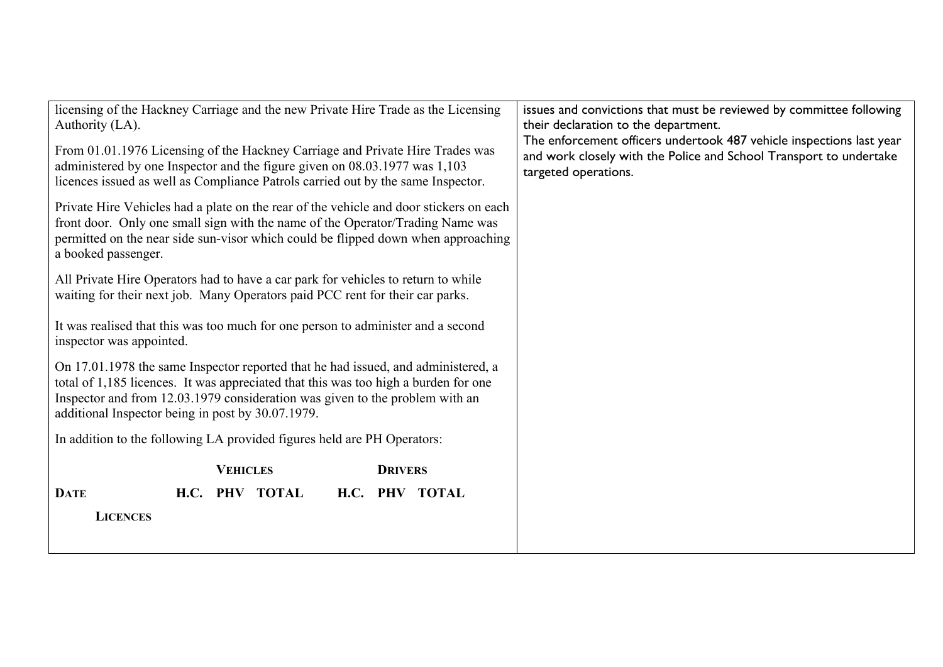| licensing of the Hackney Carriage and the new Private Hire Trade as the Licensing<br>Authority (LA).<br>From 01.01.1976 Licensing of the Hackney Carriage and Private Hire Trades was<br>administered by one Inspector and the figure given on 08.03.1977 was 1,103<br>licences issued as well as Compliance Patrols carried out by the same Inspector.<br>Private Hire Vehicles had a plate on the rear of the vehicle and door stickers on each<br>front door. Only one small sign with the name of the Operator/Trading Name was<br>permitted on the near side sun-visor which could be flipped down when approaching<br>a booked passenger.<br>All Private Hire Operators had to have a car park for vehicles to return to while<br>waiting for their next job. Many Operators paid PCC rent for their car parks.<br>It was realised that this was too much for one person to administer and a second<br>inspector was appointed.<br>On 17.01.1978 the same Inspector reported that he had issued, and administered, a<br>total of 1,185 licences. It was appreciated that this was too high a burden for one | issues and convictions that must be reviewed by committee following<br>their declaration to the department.<br>The enforcement officers undertook 487 vehicle inspections last year<br>and work closely with the Police and School Transport to undertake<br>targeted operations. |
|-------------------------------------------------------------------------------------------------------------------------------------------------------------------------------------------------------------------------------------------------------------------------------------------------------------------------------------------------------------------------------------------------------------------------------------------------------------------------------------------------------------------------------------------------------------------------------------------------------------------------------------------------------------------------------------------------------------------------------------------------------------------------------------------------------------------------------------------------------------------------------------------------------------------------------------------------------------------------------------------------------------------------------------------------------------------------------------------------------------------|-----------------------------------------------------------------------------------------------------------------------------------------------------------------------------------------------------------------------------------------------------------------------------------|
| Inspector and from 12.03.1979 consideration was given to the problem with an<br>additional Inspector being in post by 30.07.1979.                                                                                                                                                                                                                                                                                                                                                                                                                                                                                                                                                                                                                                                                                                                                                                                                                                                                                                                                                                                 |                                                                                                                                                                                                                                                                                   |
| In addition to the following LA provided figures held are PH Operators:                                                                                                                                                                                                                                                                                                                                                                                                                                                                                                                                                                                                                                                                                                                                                                                                                                                                                                                                                                                                                                           |                                                                                                                                                                                                                                                                                   |
| <b>VEHICLES</b><br><b>DRIVERS</b>                                                                                                                                                                                                                                                                                                                                                                                                                                                                                                                                                                                                                                                                                                                                                                                                                                                                                                                                                                                                                                                                                 |                                                                                                                                                                                                                                                                                   |
| H.C. PHV TOTAL<br><b>DATE</b><br>H.C. PHV TOTAL                                                                                                                                                                                                                                                                                                                                                                                                                                                                                                                                                                                                                                                                                                                                                                                                                                                                                                                                                                                                                                                                   |                                                                                                                                                                                                                                                                                   |
| <b>LICENCES</b>                                                                                                                                                                                                                                                                                                                                                                                                                                                                                                                                                                                                                                                                                                                                                                                                                                                                                                                                                                                                                                                                                                   |                                                                                                                                                                                                                                                                                   |
|                                                                                                                                                                                                                                                                                                                                                                                                                                                                                                                                                                                                                                                                                                                                                                                                                                                                                                                                                                                                                                                                                                                   |                                                                                                                                                                                                                                                                                   |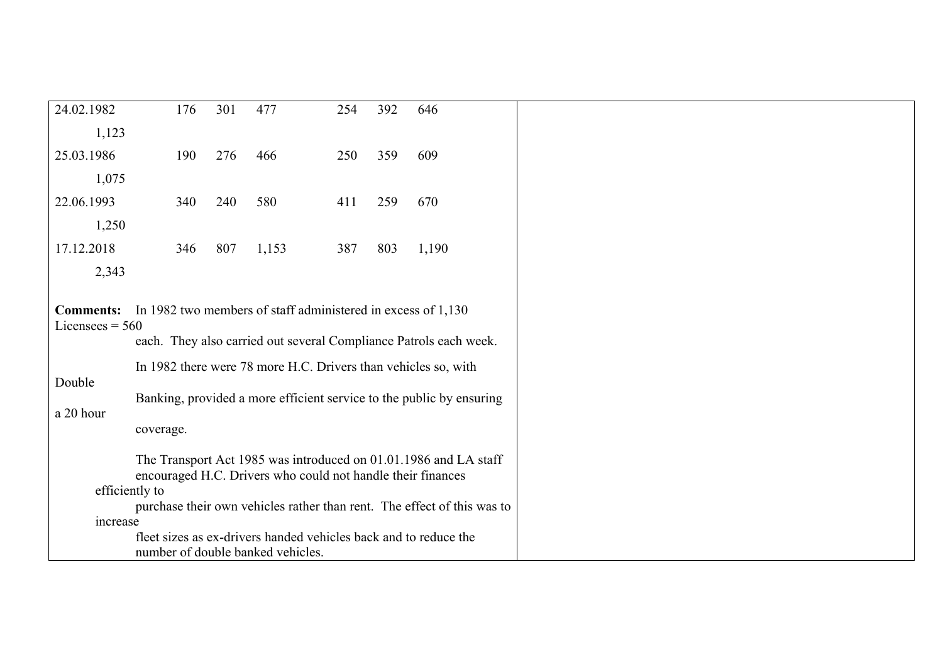| 24.02.1982                                                                                            | 176                                                          | 301 | 477   | 254 | 392 | 646                                                                     |
|-------------------------------------------------------------------------------------------------------|--------------------------------------------------------------|-----|-------|-----|-----|-------------------------------------------------------------------------|
| 1,123                                                                                                 |                                                              |     |       |     |     |                                                                         |
| 25.03.1986                                                                                            | 190                                                          | 276 | 466   | 250 | 359 | 609                                                                     |
| 1,075                                                                                                 |                                                              |     |       |     |     |                                                                         |
|                                                                                                       |                                                              |     |       |     |     |                                                                         |
| 22.06.1993                                                                                            | 340                                                          | 240 | 580   | 411 | 259 | 670                                                                     |
| 1,250                                                                                                 |                                                              |     |       |     |     |                                                                         |
| 17.12.2018                                                                                            | 346                                                          | 807 | 1,153 | 387 | 803 | 1,190                                                                   |
| 2,343                                                                                                 |                                                              |     |       |     |     |                                                                         |
|                                                                                                       |                                                              |     |       |     |     |                                                                         |
| <b>Comments:</b>                                                                                      | In 1982 two members of staff administered in excess of 1,130 |     |       |     |     |                                                                         |
| Licensees = $560$                                                                                     |                                                              |     |       |     |     |                                                                         |
|                                                                                                       |                                                              |     |       |     |     | each. They also carried out several Compliance Patrols each week.       |
|                                                                                                       |                                                              |     |       |     |     | In 1982 there were 78 more H.C. Drivers than vehicles so, with          |
| Double                                                                                                |                                                              |     |       |     |     |                                                                         |
|                                                                                                       |                                                              |     |       |     |     | Banking, provided a more efficient service to the public by ensuring    |
| a 20 hour                                                                                             |                                                              |     |       |     |     |                                                                         |
|                                                                                                       | coverage.                                                    |     |       |     |     |                                                                         |
|                                                                                                       |                                                              |     |       |     |     | The Transport Act 1985 was introduced on 01.01.1986 and LA staff        |
|                                                                                                       | encouraged H.C. Drivers who could not handle their finances  |     |       |     |     |                                                                         |
|                                                                                                       | efficiently to                                               |     |       |     |     |                                                                         |
|                                                                                                       |                                                              |     |       |     |     | purchase their own vehicles rather than rent. The effect of this was to |
| increase                                                                                              |                                                              |     |       |     |     |                                                                         |
| fleet sizes as ex-drivers handed vehicles back and to reduce the<br>number of double banked vehicles. |                                                              |     |       |     |     |                                                                         |
|                                                                                                       |                                                              |     |       |     |     |                                                                         |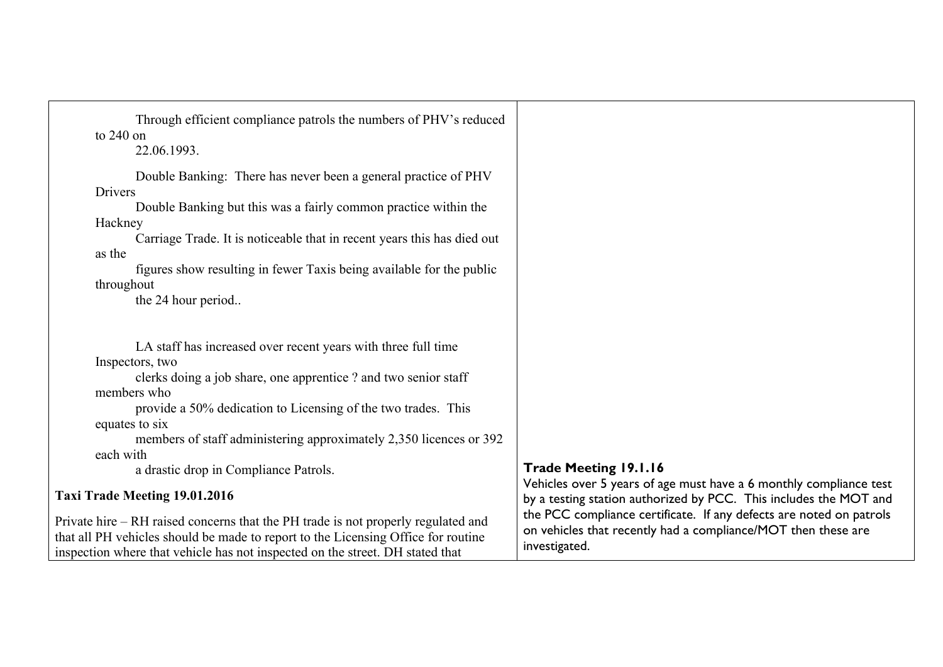| Through efficient compliance patrols the numbers of PHV's reduced<br>to 240 on                                                                                                                                                                          |                                                                                                                                                       |
|---------------------------------------------------------------------------------------------------------------------------------------------------------------------------------------------------------------------------------------------------------|-------------------------------------------------------------------------------------------------------------------------------------------------------|
| 22.06.1993.                                                                                                                                                                                                                                             |                                                                                                                                                       |
| Double Banking: There has never been a general practice of PHV                                                                                                                                                                                          |                                                                                                                                                       |
| Drivers                                                                                                                                                                                                                                                 |                                                                                                                                                       |
| Double Banking but this was a fairly common practice within the                                                                                                                                                                                         |                                                                                                                                                       |
| Hackney                                                                                                                                                                                                                                                 |                                                                                                                                                       |
| Carriage Trade. It is noticeable that in recent years this has died out                                                                                                                                                                                 |                                                                                                                                                       |
| as the                                                                                                                                                                                                                                                  |                                                                                                                                                       |
| figures show resulting in fewer Taxis being available for the public                                                                                                                                                                                    |                                                                                                                                                       |
| throughout                                                                                                                                                                                                                                              |                                                                                                                                                       |
| the 24 hour period                                                                                                                                                                                                                                      |                                                                                                                                                       |
|                                                                                                                                                                                                                                                         |                                                                                                                                                       |
| LA staff has increased over recent years with three full time                                                                                                                                                                                           |                                                                                                                                                       |
| Inspectors, two                                                                                                                                                                                                                                         |                                                                                                                                                       |
| clerks doing a job share, one apprentice ? and two senior staff                                                                                                                                                                                         |                                                                                                                                                       |
| members who                                                                                                                                                                                                                                             |                                                                                                                                                       |
| provide a 50% dedication to Licensing of the two trades. This                                                                                                                                                                                           |                                                                                                                                                       |
| equates to six                                                                                                                                                                                                                                          |                                                                                                                                                       |
| members of staff administering approximately 2,350 licences or 392                                                                                                                                                                                      |                                                                                                                                                       |
| each with                                                                                                                                                                                                                                               |                                                                                                                                                       |
| a drastic drop in Compliance Patrols.                                                                                                                                                                                                                   | <b>Trade Meeting 19.1.16</b>                                                                                                                          |
| Taxi Trade Meeting 19.01.2016                                                                                                                                                                                                                           | Vehicles over 5 years of age must have a 6 monthly compliance test<br>by a testing station authorized by PCC. This includes the MOT and               |
| Private hire – RH raised concerns that the PH trade is not properly regulated and<br>that all PH vehicles should be made to report to the Licensing Office for routine<br>ingpection where that vehicle has not inspected on the street. DH stated that | the PCC compliance certificate. If any defects are noted on patrols<br>on vehicles that recently had a compliance/MOT then these are<br>investigated. |

inspection where that vehicle has not inspected on the street. DH stated that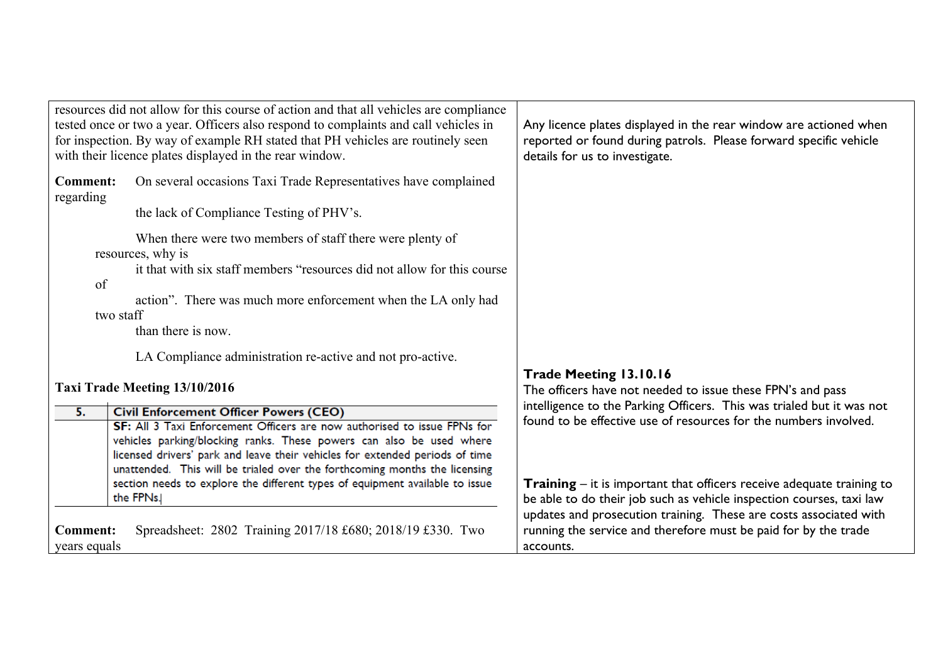|                                 | resources did not allow for this course of action and that all vehicles are compliance<br>tested once or two a year. Officers also respond to complaints and call vehicles in<br>for inspection. By way of example RH stated that PH vehicles are routinely seen<br>with their licence plates displayed in the rear window.                                     | Any licence plates displayed in the rear window are actioned when<br>reported or found during patrols. Please forward specific vehicle<br>details for us to investigate. |  |  |  |
|---------------------------------|-----------------------------------------------------------------------------------------------------------------------------------------------------------------------------------------------------------------------------------------------------------------------------------------------------------------------------------------------------------------|--------------------------------------------------------------------------------------------------------------------------------------------------------------------------|--|--|--|
| <b>Comment:</b><br>regarding    | On several occasions Taxi Trade Representatives have complained<br>the lack of Compliance Testing of PHV's.                                                                                                                                                                                                                                                     |                                                                                                                                                                          |  |  |  |
| of<br>two staff                 | When there were two members of staff there were plenty of<br>resources, why is<br>it that with six staff members "resources did not allow for this course<br>action". There was much more enforcement when the LA only had<br>than there is now.                                                                                                                |                                                                                                                                                                          |  |  |  |
|                                 | LA Compliance administration re-active and not pro-active.                                                                                                                                                                                                                                                                                                      |                                                                                                                                                                          |  |  |  |
|                                 | Taxi Trade Meeting 13/10/2016                                                                                                                                                                                                                                                                                                                                   | Trade Meeting 13.10.16<br>The officers have not needed to issue these FPN's and pass                                                                                     |  |  |  |
| 5.                              | <b>Civil Enforcement Officer Powers (CEO)</b><br>SF: All 3 Taxi Enforcement Officers are now authorised to issue FPNs for<br>vehicles parking/blocking ranks. These powers can also be used where<br>licensed drivers' park and leave their vehicles for extended periods of time<br>unattended. This will be trialed over the forthcoming months the licensing | intelligence to the Parking Officers. This was trialed but it was not<br>found to be effective use of resources for the numbers involved.                                |  |  |  |
|                                 | section needs to explore the different types of equipment available to issue<br>the FPNs.                                                                                                                                                                                                                                                                       | <b>Training</b> $-$ it is important that officers receive adequate training to<br>be able to do their job such as vehicle inspection courses, taxi law                   |  |  |  |
| <b>Comment:</b><br>years equals | Spreadsheet: 2802 Training 2017/18 £680; 2018/19 £330. Two                                                                                                                                                                                                                                                                                                      | updates and prosecution training. These are costs associated with<br>running the service and therefore must be paid for by the trade<br>accounts.                        |  |  |  |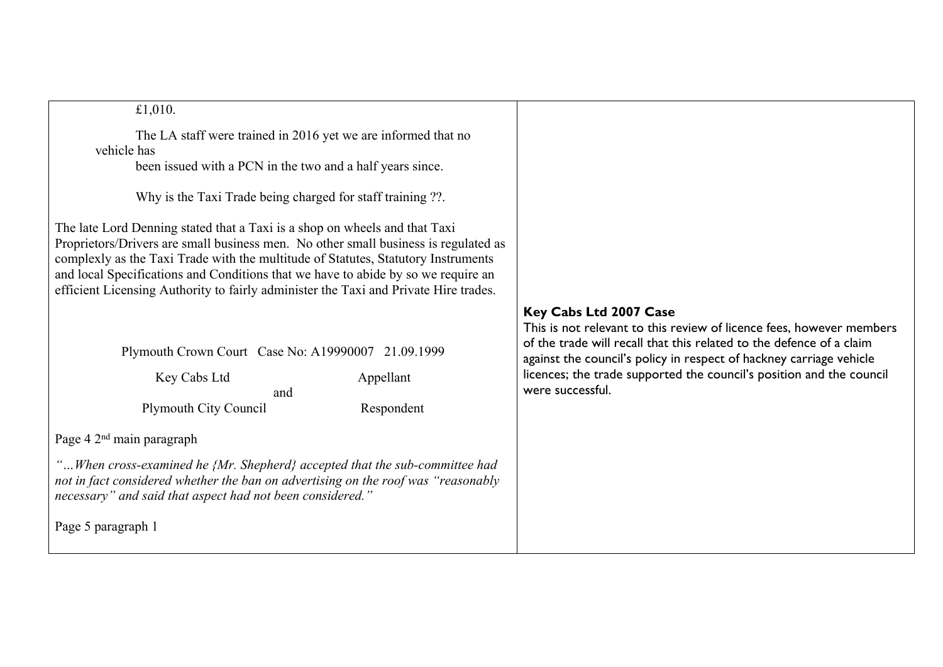£1,010.

The LA staff were trained in 2016 yet we are informed that no vehicle has

been issued with a PCN in the two and a half years since.

Why is the Taxi Trade being charged for staff training ??.

The late Lord Denning stated that a Taxi is a shop on wheels and that Taxi Proprietors/Drivers are small business men. No other small business is regulated as complexly as the Taxi Trade with the multitude of Statutes, Statutory Instruments and local Specifications and Conditions that we have to abide by so we require an efficient Licensing Authority to fairly administer the Taxi and Private Hire trades.

Plymouth Crown Court Case No: A19990007 21.09.1999

and

Key Cabs Ltd Appellant Plymouth City Council Respondent

Page 4 2<sup>nd</sup> main paragraph

*"…When cross-examined he {Mr. Shepherd} accepted that the sub-committee had not in fact considered whether the ban on advertising on the roof was "reasonably necessary" and said that aspect had not been considered."*

Page 5 paragraph 1

## **Key Cabs Ltd 2007 Case**

This is not relevant to this review of licence fees, however members of the trade will recall that this related to the defence of a claim against the council's policy in respect of hackney carriage vehicle licences; the trade supported the council's position and the council were successful.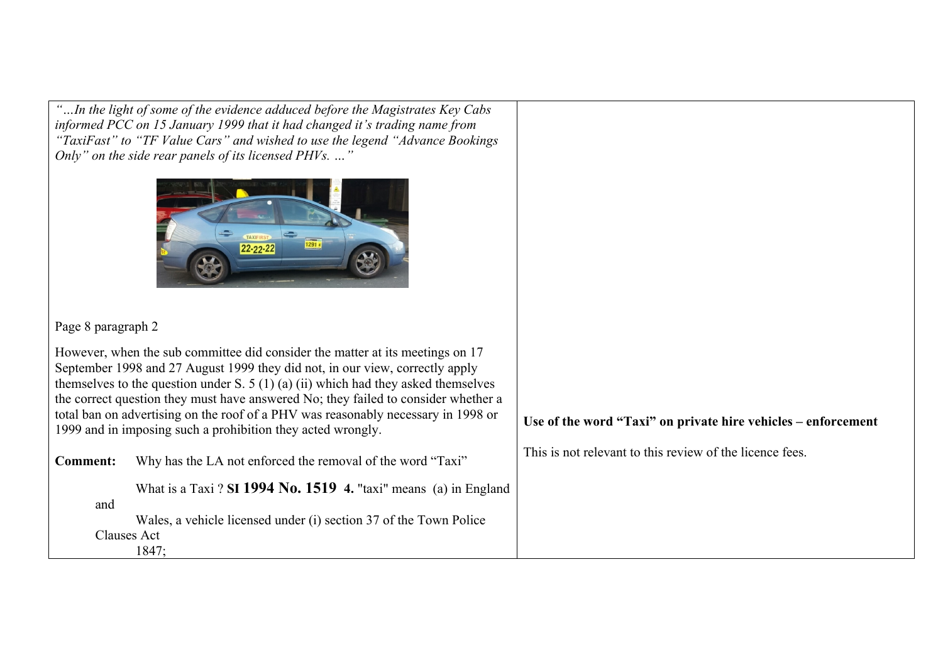*"…In the light of some of the evidence adduced before the Magistrates Key Cabs informed PCC on 15 January 1999 that it had changed it's trading name from "TaxiFast" to "TF Value Cars" and wished to use the legend "Advance Bookings Only" on the side rear panels of its licensed PHVs. …"*



Page 8 paragraph 2

However, when the sub committee did consider the matter at its meetings on 17 September 1998 and 27 August 1999 they did not, in our view, correctly apply themselves to the question under S.  $5(1)(a)(ii)$  which had they asked themselves the correct question they must have answered No; they failed to consider whether a total ban on advertising on the roof of a PHV was reasonably necessary in 1998 or 1999 and in imposing such a prohibition they acted wrongly.

| <b>Comment:</b> | Why has the LA not enforced the removal of the word "Taxi"        |  |  |
|-----------------|-------------------------------------------------------------------|--|--|
|                 | What is a Taxi? SI 1994 No. 1519 4. "taxi" means (a) in England   |  |  |
| and             | Wales, a vehicle licensed under (i) section 37 of the Town Police |  |  |
| Clauses Act     |                                                                   |  |  |
|                 | 1847:                                                             |  |  |

## **Use of the word "Taxi" on private hire vehicles – enforcement**

This is not relevant to this review of the licence fees.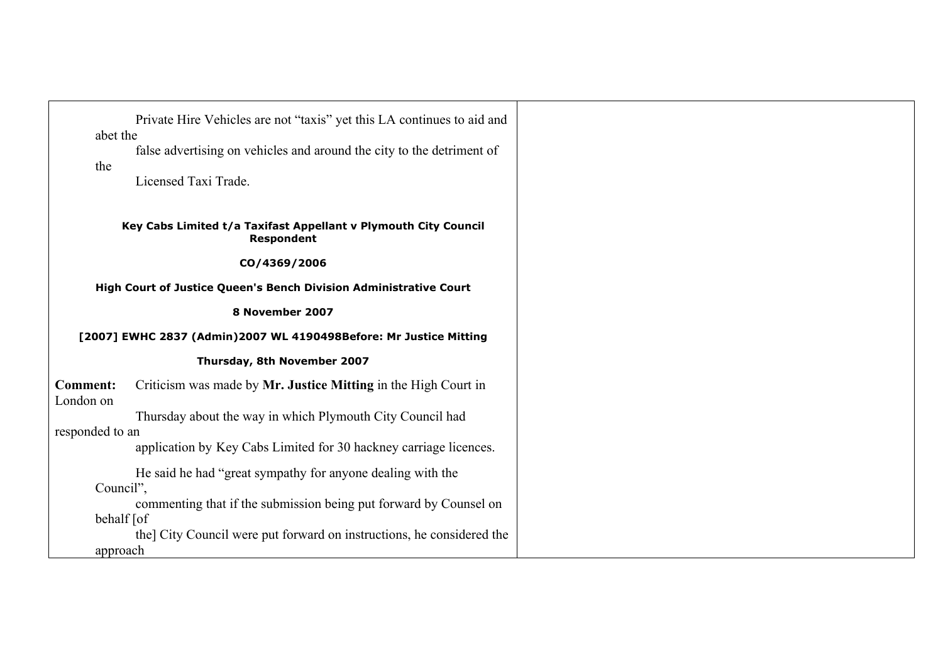Private Hire Vehicles are not "taxis" yet this LA continues to aid and abet the

false advertising on vehicles and around the city to the detriment of the

Licensed Taxi Trade.

**Key Cabs Limited t/a Taxifast Appellant v Plymouth City Council Respondent**

**CO/4369/2006**

**High Court of Justice Queen's Bench Division Administrative Court**

**8 November 2007**

### **[2007] EWHC 2837 (Admin)2007 WL 4190498Before: Mr Justice Mitting**

#### **Thursday, 8th November 2007**

**Comment:** Criticism was made by **Mr. Justice Mitting** in the High Court in London on Thursday about the way in which Plymouth City Council had

### responded to an

application by Key Cabs Limited for 30 hackney carriage licences.

He said he had "great sympathy for anyone dealing with the Council",

commenting that if the submission being put forward by Counsel on behalf [of

the] City Council were put forward on instructions, he considered the approach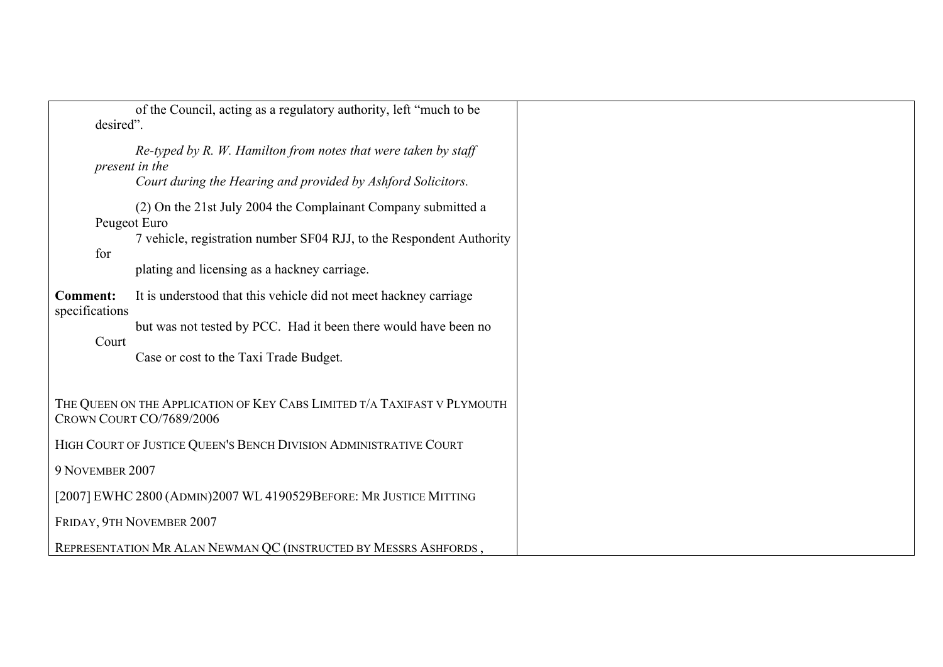| desired".                                                         | of the Council, acting as a regulatory authority, left "much to be                                                                                                                                    |  |
|-------------------------------------------------------------------|-------------------------------------------------------------------------------------------------------------------------------------------------------------------------------------------------------|--|
|                                                                   | Re-typed by R. W. Hamilton from notes that were taken by staff<br>present in the<br>Court during the Hearing and provided by Ashford Solicitors.                                                      |  |
| for                                                               | (2) On the 21st July 2004 the Complainant Company submitted a<br>Peugeot Euro<br>7 vehicle, registration number SF04 RJJ, to the Respondent Authority<br>plating and licensing as a hackney carriage. |  |
| <b>Comment:</b><br>specifications<br>Court                        | It is understood that this vehicle did not meet hackney carriage<br>but was not tested by PCC. Had it been there would have been no<br>Case or cost to the Taxi Trade Budget.                         |  |
|                                                                   | THE QUEEN ON THE APPLICATION OF KEY CABS LIMITED T/A TAXIFAST V PLYMOUTH<br>CROWN COURT CO/7689/2006                                                                                                  |  |
|                                                                   | HIGH COURT OF JUSTICE QUEEN'S BENCH DIVISION ADMINISTRATIVE COURT                                                                                                                                     |  |
| 9 NOVEMBER 2007                                                   |                                                                                                                                                                                                       |  |
| [2007] EWHC 2800 (ADMIN)2007 WL 4190529BEFORE: MR JUSTICE MITTING |                                                                                                                                                                                                       |  |
|                                                                   | FRIDAY, 9TH NOVEMBER 2007                                                                                                                                                                             |  |
|                                                                   | REPRESENTATION MR ALAN NEWMAN QC (INSTRUCTED BY MESSRS ASHFORDS,                                                                                                                                      |  |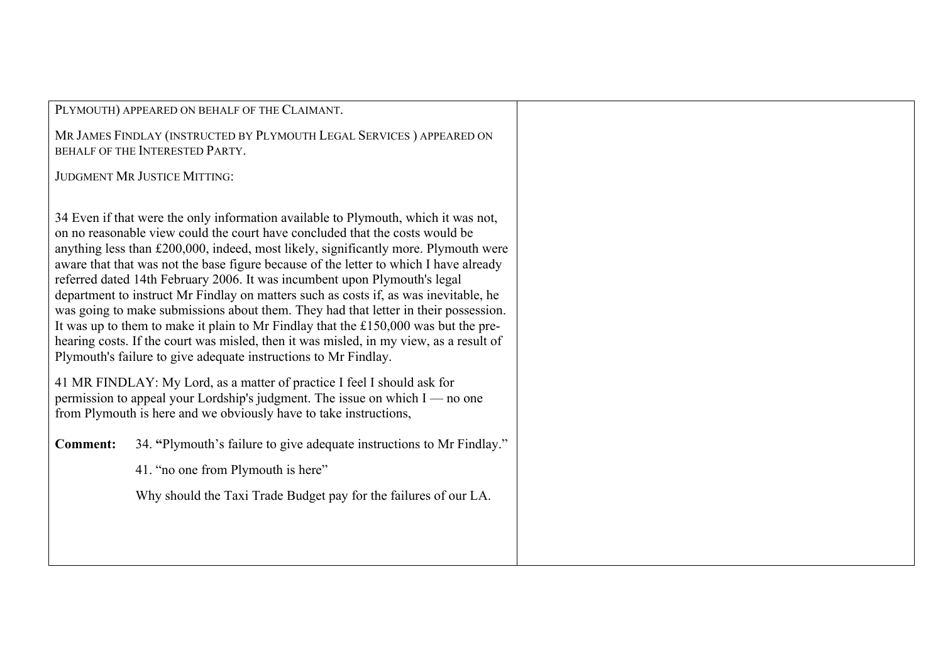PLYMOUTH) APPEARED ON BEHALF OF THE CLAIMANT.

MR JAMES FINDLAY (INSTRUCTED BY PLYMOUTH LEGAL SERVICES ) APPEARED ON BEHALF OF THE INTERESTED PARTY.

JUDGMENT MR JUSTICE MITTING:

34 Even if that were the only information available to Plymouth, which it was not, on no reasonable view could the court have concluded that the costs would be anything less than £200,000, indeed, most likely, significantly more. Plymouth were aware that that was not the base figure because of the letter to which I have already referred dated 14th February 2006. It was incumbent upon Plymouth's legal department to instruct Mr Findlay on matters such as costs if, as was inevitable, he was going to make submissions about them. They had that letter in their possession. It was up to them to make it plain to Mr Findlay that the £150,000 was but the prehearing costs. If the court was misled, then it was misled, in my view, as a result of Plymouth's failure to give adequate instructions to Mr Findlay.

41 MR FINDLAY: My Lord, as a matter of practice I feel I should ask for permission to appeal your Lordship's judgment. The issue on which I — no one from Plymouth is here and we obviously have to take instructions,

**Comment:** 34. **"**Plymouth's failure to give adequate instructions to Mr Findlay."

41. "no one from Plymouth is here"

Why should the Taxi Trade Budget pay for the failures of our LA.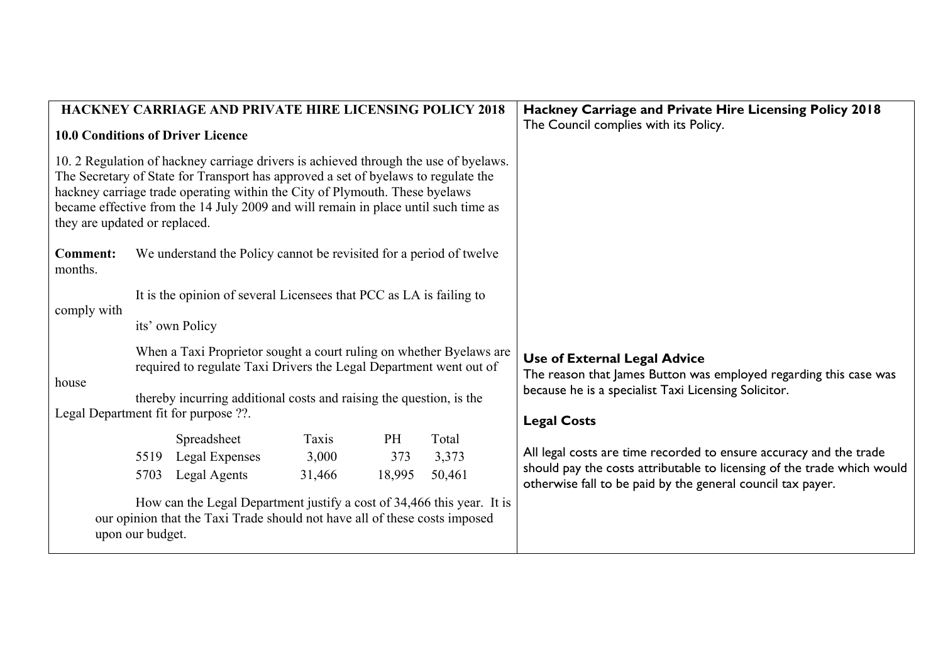|                                                                                                                                                                                                                                                                                                                                                                                                                              |                                               |                                                          |                            | Hackney Carriage and Private Hire Licensing Policy 2018<br>The Council complies with its Policy. |                                                                                                                                                                                                                                                                                               |
|------------------------------------------------------------------------------------------------------------------------------------------------------------------------------------------------------------------------------------------------------------------------------------------------------------------------------------------------------------------------------------------------------------------------------|-----------------------------------------------|----------------------------------------------------------|----------------------------|--------------------------------------------------------------------------------------------------|-----------------------------------------------------------------------------------------------------------------------------------------------------------------------------------------------------------------------------------------------------------------------------------------------|
| <b>10.0 Conditions of Driver Licence</b><br>10. 2 Regulation of hackney carriage drivers is achieved through the use of byelaws.<br>The Secretary of State for Transport has approved a set of byelaws to regulate the<br>hackney carriage trade operating within the City of Plymouth. These byelaws<br>became effective from the 14 July 2009 and will remain in place until such time as<br>they are updated or replaced. |                                               |                                                          |                            |                                                                                                  |                                                                                                                                                                                                                                                                                               |
| We understand the Policy cannot be revisited for a period of twelve                                                                                                                                                                                                                                                                                                                                                          |                                               |                                                          |                            |                                                                                                  |                                                                                                                                                                                                                                                                                               |
| It is the opinion of several Licensees that PCC as LA is failing to                                                                                                                                                                                                                                                                                                                                                          |                                               |                                                          |                            |                                                                                                  |                                                                                                                                                                                                                                                                                               |
| its' own Policy                                                                                                                                                                                                                                                                                                                                                                                                              |                                               |                                                          |                            |                                                                                                  |                                                                                                                                                                                                                                                                                               |
| When a Taxi Proprietor sought a court ruling on whether Byelaws are<br>required to regulate Taxi Drivers the Legal Department went out of                                                                                                                                                                                                                                                                                    |                                               |                                                          |                            |                                                                                                  | <b>Use of External Legal Advice</b><br>The reason that James Button was employed regarding this case was<br>because he is a specialist Taxi Licensing Solicitor.                                                                                                                              |
|                                                                                                                                                                                                                                                                                                                                                                                                                              |                                               |                                                          |                            |                                                                                                  | <b>Legal Costs</b>                                                                                                                                                                                                                                                                            |
| 5519<br>5703                                                                                                                                                                                                                                                                                                                                                                                                                 | Spreadsheet<br>Legal Expenses<br>Legal Agents | Taxis<br>3,000<br>31,466                                 | <b>PH</b><br>373<br>18,995 | Total<br>3,373<br>50,461                                                                         | All legal costs are time recorded to ensure accuracy and the trade<br>should pay the costs attributable to licensing of the trade which would<br>otherwise fall to be paid by the general council tax payer.                                                                                  |
|                                                                                                                                                                                                                                                                                                                                                                                                                              |                                               | Legal Department fit for purpose ??.<br>upon our budget. |                            |                                                                                                  | <b>HACKNEY CARRIAGE AND PRIVATE HIRE LICENSING POLICY 2018</b><br>thereby incurring additional costs and raising the question, is the<br>How can the Legal Department justify a cost of 34,466 this year. It is<br>our opinion that the Taxi Trade should not have all of these costs imposed |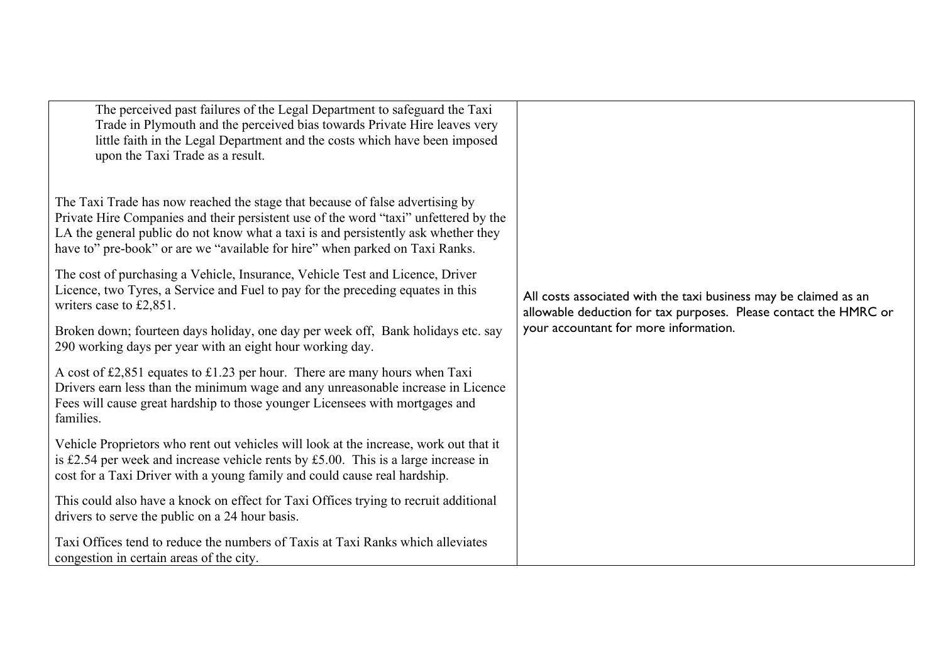| The perceived past failures of the Legal Department to safeguard the Taxi<br>Trade in Plymouth and the perceived bias towards Private Hire leaves very<br>little faith in the Legal Department and the costs which have been imposed<br>upon the Taxi Trade as a result.<br>The Taxi Trade has now reached the stage that because of false advertising by<br>Private Hire Companies and their persistent use of the word "taxi" unfettered by the<br>LA the general public do not know what a taxi is and persistently ask whether they<br>have to" pre-book" or are we "available for hire" when parked on Taxi Ranks. |                                                                                                                                      |
|-------------------------------------------------------------------------------------------------------------------------------------------------------------------------------------------------------------------------------------------------------------------------------------------------------------------------------------------------------------------------------------------------------------------------------------------------------------------------------------------------------------------------------------------------------------------------------------------------------------------------|--------------------------------------------------------------------------------------------------------------------------------------|
| The cost of purchasing a Vehicle, Insurance, Vehicle Test and Licence, Driver<br>Licence, two Tyres, a Service and Fuel to pay for the preceding equates in this<br>writers case to £2,851.                                                                                                                                                                                                                                                                                                                                                                                                                             | All costs associated with the taxi business may be claimed as an<br>allowable deduction for tax purposes. Please contact the HMRC or |
| Broken down; fourteen days holiday, one day per week off, Bank holidays etc. say<br>290 working days per year with an eight hour working day.                                                                                                                                                                                                                                                                                                                                                                                                                                                                           | your accountant for more information.                                                                                                |
| A cost of £2,851 equates to £1.23 per hour. There are many hours when Taxi<br>Drivers earn less than the minimum wage and any unreasonable increase in Licence<br>Fees will cause great hardship to those younger Licensees with mortgages and<br>families.                                                                                                                                                                                                                                                                                                                                                             |                                                                                                                                      |
| Vehicle Proprietors who rent out vehicles will look at the increase, work out that it<br>is £2.54 per week and increase vehicle rents by £5.00. This is a large increase in<br>cost for a Taxi Driver with a young family and could cause real hardship.                                                                                                                                                                                                                                                                                                                                                                |                                                                                                                                      |
| This could also have a knock on effect for Taxi Offices trying to recruit additional<br>drivers to serve the public on a 24 hour basis.                                                                                                                                                                                                                                                                                                                                                                                                                                                                                 |                                                                                                                                      |
| Taxi Offices tend to reduce the numbers of Taxis at Taxi Ranks which alleviates<br>congestion in certain areas of the city.                                                                                                                                                                                                                                                                                                                                                                                                                                                                                             |                                                                                                                                      |